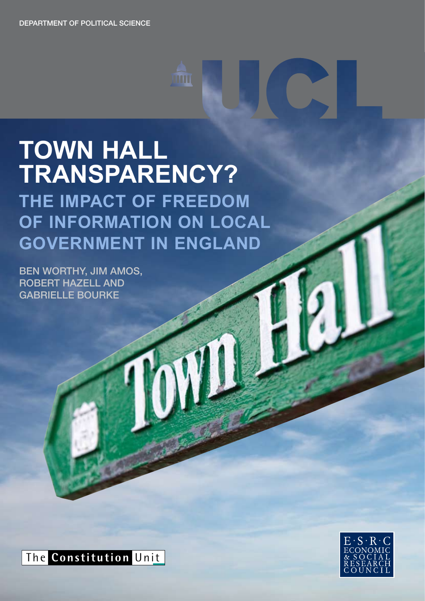# **TOWN HALL TRANSPARENCY?**

**THE IMPACT OF FREEDOM OF INFORMATION ON LOCAL GOVERNMENT IN ENGLAND** 

**ind** 

Ben Worthy, Jim Amos, Robert Hazell and Gabrielle Bourke



The **Constitution** Unit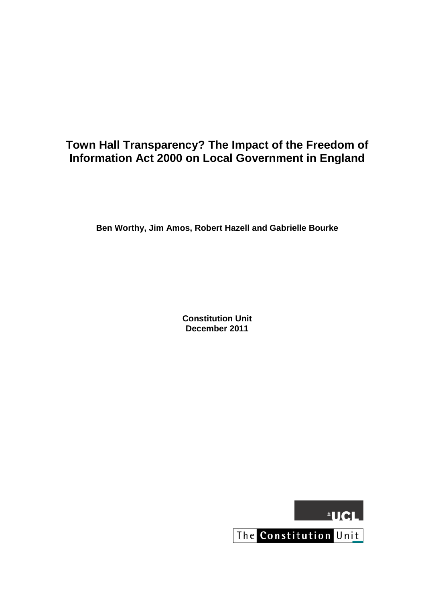# **Town Hall Transparency? The Impact of the Freedom of Information Act 2000 on Local Government in England**

**Ben Worthy, Jim Amos, Robert Hazell and Gabrielle Bourke**

**Constitution Unit December 2011**



The Constitution Unit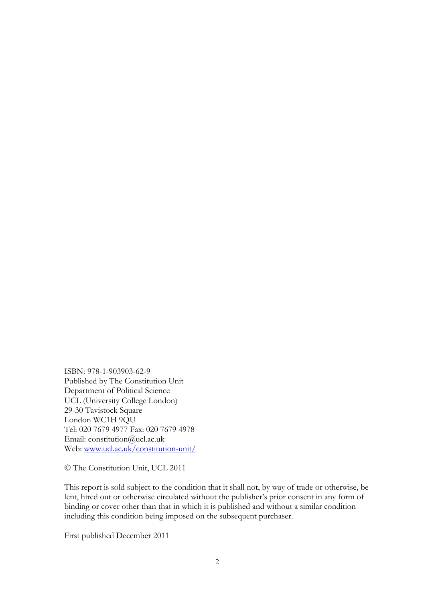ISBN: 978-1-903903-62-9 Published by The Constitution Unit Department of Political Science UCL (University College London) 29-30 Tavistock Square London WC1H 9QU Tel: 020 7679 4977 Fax: 020 7679 4978 Email: constitution@ucl.ac.uk Web: [www.ucl.ac.uk/constitution-unit/](http://www.ucl.ac.uk/constitution-unit/)

© The Constitution Unit, UCL 2011

This report is sold subject to the condition that it shall not, by way of trade or otherwise, be lent, hired out or otherwise circulated without the publisher's prior consent in any form of binding or cover other than that in which it is published and without a similar condition including this condition being imposed on the subsequent purchaser.

First published December 2011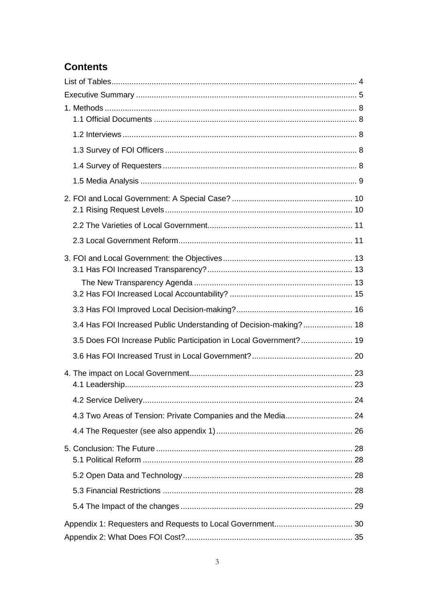# **Contents**

| 3.4 Has FOI Increased Public Understanding of Decision-making? 18   |  |
|---------------------------------------------------------------------|--|
| 3.5 Does FOI Increase Public Participation in Local Government?  19 |  |
|                                                                     |  |
|                                                                     |  |
|                                                                     |  |
| 4.3 Two Areas of Tension: Private Companies and the Media 24        |  |
|                                                                     |  |
|                                                                     |  |
|                                                                     |  |
|                                                                     |  |
|                                                                     |  |
|                                                                     |  |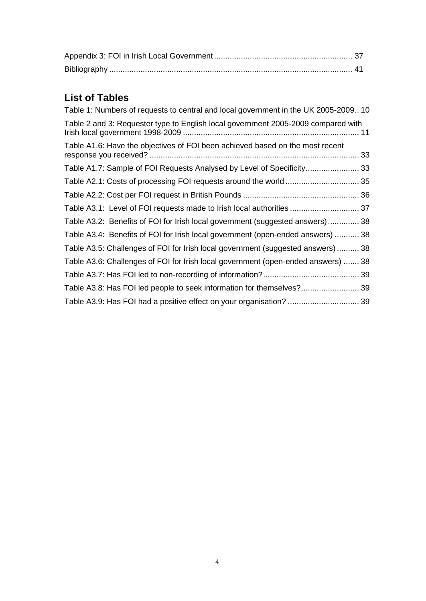# <span id="page-4-0"></span>**List of Tables**

<span id="page-4-1"></span>

| Table 1: Numbers of requests to central and local government in the UK 2005-2009 10 |  |
|-------------------------------------------------------------------------------------|--|
| Table 2 and 3: Requester type to English local government 2005-2009 compared with   |  |
| Table A1.6: Have the objectives of FOI been achieved based on the most recent       |  |
| Table A1.7: Sample of FOI Requests Analysed by Level of Specificity 33              |  |
|                                                                                     |  |
|                                                                                     |  |
| Table A3.1: Level of FOI requests made to Irish local authorities  37               |  |
| Table A3.2: Benefits of FOI for Irish local government (suggested answers) 38       |  |
| Table A3.4: Benefits of FOI for Irish local government (open-ended answers)  38     |  |
| Table A3.5: Challenges of FOI for Irish local government (suggested answers)  38    |  |
| Table A3.6: Challenges of FOI for Irish local government (open-ended answers)  38   |  |
|                                                                                     |  |
| Table A3.8: Has FOI led people to seek information for themselves? 39               |  |
| Table A3.9: Has FOI had a positive effect on your organisation?  39                 |  |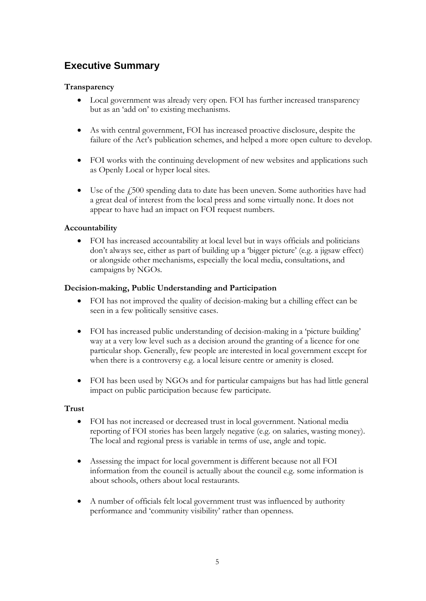# **Executive Summary**

#### **Transparency**

- Local government was already very open. FOI has further increased transparency but as an 'add on' to existing mechanisms.
- As with central government, FOI has increased proactive disclosure, despite the failure of the Act's publication schemes, and helped a more open culture to develop.
- FOI works with the continuing development of new websites and applications such as Openly Local or hyper local sites.
- Use of the £500 spending data to date has been uneven. Some authorities have had a great deal of interest from the local press and some virtually none. It does not appear to have had an impact on FOI request numbers.

#### **Accountability**

 FOI has increased accountability at local level but in ways officials and politicians don't always see, either as part of building up a 'bigger picture' (e.g. a jigsaw effect) or alongside other mechanisms, especially the local media, consultations, and campaigns by NGOs.

#### **Decision-making, Public Understanding and Participation**

- FOI has not improved the quality of decision-making but a chilling effect can be seen in a few politically sensitive cases.
- FOI has increased public understanding of decision-making in a 'picture building' way at a very low level such as a decision around the granting of a licence for one particular shop. Generally, few people are interested in local government except for when there is a controversy e.g. a local leisure centre or amenity is closed.
- FOI has been used by NGOs and for particular campaigns but has had little general impact on public participation because few participate.

#### **Trust**

- FOI has not increased or decreased trust in local government. National media reporting of FOI stories has been largely negative (e.g. on salaries, wasting money). The local and regional press is variable in terms of use, angle and topic.
- Assessing the impact for local government is different because not all FOI information from the council is actually about the council e.g. some information is about schools, others about local restaurants.
- A number of officials felt local government trust was influenced by authority performance and 'community visibility' rather than openness.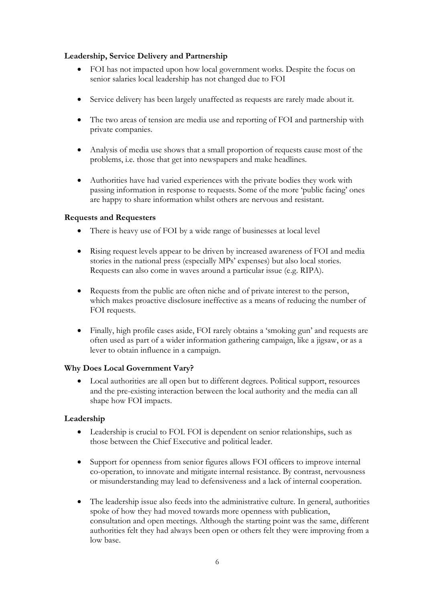#### **Leadership, Service Delivery and Partnership**

- FOI has not impacted upon how local government works. Despite the focus on senior salaries local leadership has not changed due to FOI
- Service delivery has been largely unaffected as requests are rarely made about it.
- The two areas of tension are media use and reporting of FOI and partnership with private companies.
- Analysis of media use shows that a small proportion of requests cause most of the problems, i.e. those that get into newspapers and make headlines.
- Authorities have had varied experiences with the private bodies they work with passing information in response to requests. Some of the more 'public facing' ones are happy to share information whilst others are nervous and resistant.

#### **Requests and Requesters**

- There is heavy use of FOI by a wide range of businesses at local level
- Rising request levels appear to be driven by increased awareness of FOI and media stories in the national press (especially MPs' expenses) but also local stories. Requests can also come in waves around a particular issue (e.g. RIPA).
- Requests from the public are often niche and of private interest to the person, which makes proactive disclosure ineffective as a means of reducing the number of FOI requests.
- Finally, high profile cases aside, FOI rarely obtains a 'smoking gun' and requests are often used as part of a wider information gathering campaign, like a jigsaw, or as a lever to obtain influence in a campaign.

#### **Why Does Local Government Vary?**

 Local authorities are all open but to different degrees. Political support, resources and the pre-existing interaction between the local authority and the media can all shape how FOI impacts.

# **Leadership**

- Leadership is crucial to FOI. FOI is dependent on senior relationships, such as those between the Chief Executive and political leader.
- Support for openness from senior figures allows FOI officers to improve internal co-operation, to innovate and mitigate internal resistance. By contrast, nervousness or misunderstanding may lead to defensiveness and a lack of internal cooperation.
- The leadership issue also feeds into the administrative culture. In general, authorities spoke of how they had moved towards more openness with publication, consultation and open meetings. Although the starting point was the same, different authorities felt they had always been open or others felt they were improving from a low base.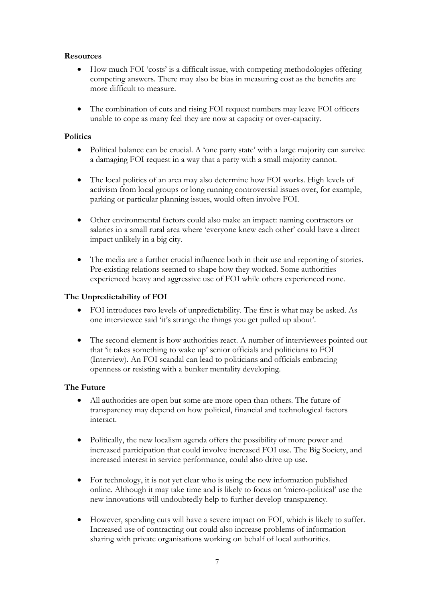#### **Resources**

- How much FOI 'costs' is a difficult issue, with competing methodologies offering competing answers. There may also be bias in measuring cost as the benefits are more difficult to measure.
- The combination of cuts and rising FOI request numbers may leave FOI officers unable to cope as many feel they are now at capacity or over-capacity.

#### **Politics**

- Political balance can be crucial. A 'one party state' with a large majority can survive a damaging FOI request in a way that a party with a small majority cannot.
- The local politics of an area may also determine how FOI works. High levels of activism from local groups or long running controversial issues over, for example, parking or particular planning issues, would often involve FOI.
- Other environmental factors could also make an impact: naming contractors or salaries in a small rural area where 'everyone knew each other' could have a direct impact unlikely in a big city.
- The media are a further crucial influence both in their use and reporting of stories. Pre-existing relations seemed to shape how they worked. Some authorities experienced heavy and aggressive use of FOI while others experienced none.

#### **The Unpredictability of FOI**

- FOI introduces two levels of unpredictability. The first is what may be asked. As one interviewee said 'it's strange the things you get pulled up about'.
- The second element is how authorities react. A number of interviewees pointed out that 'it takes something to wake up' senior officials and politicians to FOI (Interview). An FOI scandal can lead to politicians and officials embracing openness or resisting with a bunker mentality developing.

#### **The Future**

- All authorities are open but some are more open than others. The future of transparency may depend on how political, financial and technological factors interact.
- Politically, the new localism agenda offers the possibility of more power and increased participation that could involve increased FOI use. The Big Society, and increased interest in service performance, could also drive up use.
- For technology, it is not yet clear who is using the new information published online. Although it may take time and is likely to focus on 'micro-political' use the new innovations will undoubtedly help to further develop transparency.
- However, spending cuts will have a severe impact on FOI, which is likely to suffer. Increased use of contracting out could also increase problems of information sharing with private organisations working on behalf of local authorities.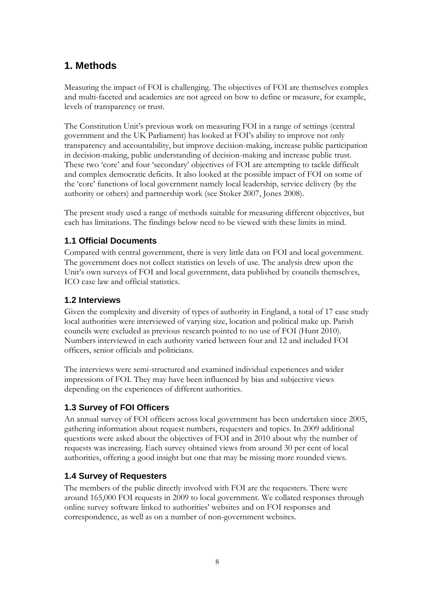# <span id="page-8-0"></span>**1. Methods**

Measuring the impact of FOI is challenging. The objectives of FOI are themselves complex and multi-faceted and academics are not agreed on how to define or measure, for example, levels of transparency or trust.

The Constitution Unit's previous work on measuring FOI in a range of settings (central government and the UK Parliament) has looked at FOI's ability to improve not only transparency and accountability, but improve decision-making, increase public participation in decision-making, public understanding of decision-making and increase public trust. These two 'core' and four 'secondary' objectives of FOI are attempting to tackle difficult and complex democratic deficits. It also looked at the possible impact of FOI on some of the 'core' functions of local government namely local leadership, service delivery (by the authority or others) and partnership work (see Stoker 2007, Jones 2008).

The present study used a range of methods suitable for measuring different objectives, but each has limitations. The findings below need to be viewed with these limits in mind.

# <span id="page-8-1"></span>**1.1 Official Documents**

Compared with central government, there is very little data on FOI and local government. The government does not collect statistics on levels of use. The analysis drew upon the Unit's own surveys of FOI and local government, data published by councils themselves, ICO case law and official statistics.

# <span id="page-8-2"></span>**1.2 Interviews**

Given the complexity and diversity of types of authority in England, a total of 17 case study local authorities were interviewed of varying size, location and political make up. Parish councils were excluded as previous research pointed to no use of FOI (Hunt 2010). Numbers interviewed in each authority varied between four and 12 and included FOI officers, senior officials and politicians.

The interviews were semi-structured and examined individual experiences and wider impressions of FOI. They may have been influenced by bias and subjective views depending on the experiences of different authorities.

# <span id="page-8-3"></span>**1.3 Survey of FOI Officers**

An annual survey of FOI officers across local government has been undertaken since 2005, gathering information about request numbers, requesters and topics. In 2009 additional questions were asked about the objectives of FOI and in 2010 about why the number of requests was increasing. Each survey obtained views from around 30 per cent of local authorities, offering a good insight but one that may be missing more rounded views.

# <span id="page-8-4"></span>**1.4 Survey of Requesters**

The members of the public directly involved with FOI are the requesters. There were around 165,000 FOI requests in 2009 to local government. We collated responses through online survey software linked to authorities' websites and on FOI responses and correspondence, as well as on a number of non-government websites.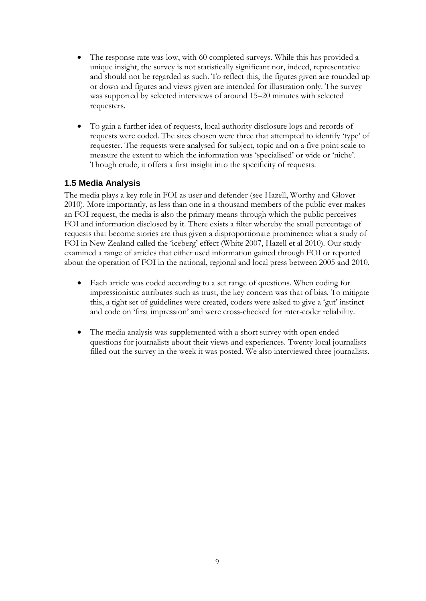- The response rate was low, with 60 completed surveys. While this has provided a unique insight, the survey is not statistically significant nor, indeed, representative and should not be regarded as such. To reflect this, the figures given are rounded up or down and figures and views given are intended for illustration only. The survey was supported by selected interviews of around 15–20 minutes with selected requesters.
- To gain a further idea of requests, local authority disclosure logs and records of requests were coded. The sites chosen were three that attempted to identify 'type' of requester. The requests were analysed for subject, topic and on a five point scale to measure the extent to which the information was 'specialised' or wide or 'niche'. Though crude, it offers a first insight into the specificity of requests.

# <span id="page-9-0"></span>**1.5 Media Analysis**

The media plays a key role in FOI as user and defender (see Hazell, Worthy and Glover 2010). More importantly, as less than one in a thousand members of the public ever makes an FOI request, the media is also the primary means through which the public perceives FOI and information disclosed by it. There exists a filter whereby the small percentage of requests that become stories are thus given a disproportionate prominence: what a study of FOI in New Zealand called the 'iceberg' effect (White 2007, Hazell et al 2010). Our study examined a range of articles that either used information gained through FOI or reported about the operation of FOI in the national, regional and local press between 2005 and 2010.

- Each article was coded according to a set range of questions. When coding for impressionistic attributes such as trust, the key concern was that of bias. To mitigate this, a tight set of guidelines were created, coders were asked to give a 'gut' instinct and code on 'first impression' and were cross-checked for inter-coder reliability.
- The media analysis was supplemented with a short survey with open ended questions for journalists about their views and experiences. Twenty local journalists filled out the survey in the week it was posted. We also interviewed three journalists.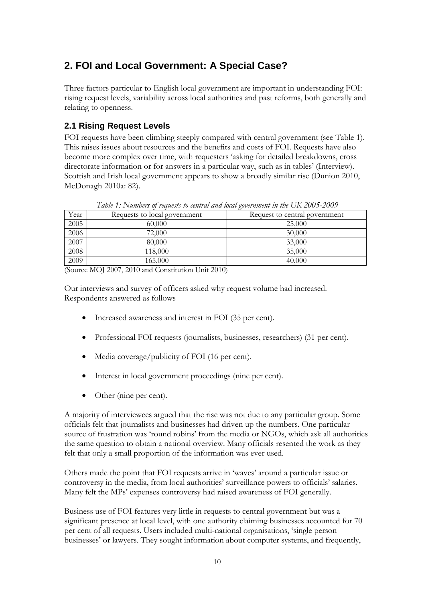# <span id="page-10-0"></span>**2. FOI and Local Government: A Special Case?**

Three factors particular to English local government are important in understanding FOI: rising request levels, variability across local authorities and past reforms, both generally and relating to openness.

# <span id="page-10-1"></span>**2.1 Rising Request Levels**

FOI requests have been climbing steeply compared with central government (see Table 1). This raises issues about resources and the benefits and costs of FOI. Requests have also become more complex over time, with requesters 'asking for detailed breakdowns, cross directorate information or for answers in a particular way, such as in tables' (Interview). Scottish and Irish local government appears to show a broadly similar rise (Dunion 2010, McDonagh 2010a: 82).

<span id="page-10-2"></span>

| TWON T. TWO OUT OF PURSES TO WILL WE WILL FOUND ZOUTHING TO THE THE ZOOD ZOOD |                              |                               |  |  |  |
|-------------------------------------------------------------------------------|------------------------------|-------------------------------|--|--|--|
| Year                                                                          | Requests to local government | Request to central government |  |  |  |
| 2005                                                                          | 60,000                       | 25,000                        |  |  |  |
| 2006                                                                          | 72,000                       | 30,000                        |  |  |  |
| 2007                                                                          | 80,000                       | 33,000                        |  |  |  |
| 2008                                                                          | 118,000                      | 35,000                        |  |  |  |
| 2009                                                                          | 165,000                      | 40,000                        |  |  |  |

*Table 1: Numbers of requests to central and local government in the UK 2005-2009*

(Source MOJ 2007, 2010 and Constitution Unit 2010)

Our interviews and survey of officers asked why request volume had increased. Respondents answered as follows

- Increased awareness and interest in FOI (35 per cent).
- Professional FOI requests (journalists, businesses, researchers) (31 per cent).
- Media coverage/publicity of FOI (16 per cent).
- Interest in local government proceedings (nine per cent).
- Other (nine per cent).

A majority of interviewees argued that the rise was not due to any particular group. Some officials felt that journalists and businesses had driven up the numbers. One particular source of frustration was 'round robins' from the media or NGOs, which ask all authorities the same question to obtain a national overview. Many officials resented the work as they felt that only a small proportion of the information was ever used.

Others made the point that FOI requests arrive in 'waves' around a particular issue or controversy in the media, from local authorities' surveillance powers to officials' salaries. Many felt the MPs' expenses controversy had raised awareness of FOI generally.

Business use of FOI features very little in requests to central government but was a significant presence at local level, with one authority claiming businesses accounted for 70 per cent of all requests. Users included multi-national organisations, 'single person businesses' or lawyers. They sought information about computer systems, and frequently,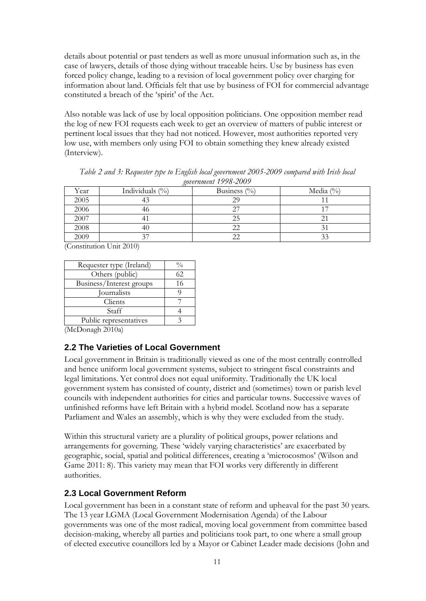details about potential or past tenders as well as more unusual information such as, in the case of lawyers, details of those dying without traceable heirs. Use by business has even forced policy change, leading to a revision of local government policy over charging for information about land. Officials felt that use by business of FOI for commercial advantage constituted a breach of the 'spirit' of the Act.

Also notable was lack of use by local opposition politicians. One opposition member read the log of new FOI requests each week to get an overview of matters of public interest or pertinent local issues that they had not noticed. However, most authorities reported very low use, with members only using FOI to obtain something they knew already existed (Interview).

<span id="page-11-2"></span>

| $\chi$ 0001101110111 1770-4007 |                    |                  |               |  |  |  |
|--------------------------------|--------------------|------------------|---------------|--|--|--|
| Year                           | Individuals $(\%)$ | Business $(\% )$ | Media $(\% )$ |  |  |  |
| 2005                           |                    | 29               |               |  |  |  |
| 2006                           | 46                 |                  |               |  |  |  |
| 2007                           |                    | 25               |               |  |  |  |
| 2008                           |                    |                  |               |  |  |  |
| 2009                           |                    |                  | n n           |  |  |  |

*Table 2 and 3: Requester type to English local government 2005-2009 compared with Irish local government 1998-2009*

(Constitution Unit 2010)

| $\sqrt{0}$ |
|------------|
| 62.        |
| 16         |
|            |
|            |
|            |
|            |
|            |

<span id="page-11-0"></span>(McDonagh 2010a)

# **2.2 The Varieties of Local Government**

Local government in Britain is traditionally viewed as one of the most centrally controlled and hence uniform local government systems, subject to stringent fiscal constraints and legal limitations. Yet control does not equal uniformity. Traditionally the UK local government system has consisted of county, district and (sometimes) town or parish level councils with independent authorities for cities and particular towns. Successive waves of unfinished reforms have left Britain with a hybrid model. Scotland now has a separate Parliament and Wales an assembly, which is why they were excluded from the study.

Within this structural variety are a plurality of political groups, power relations and arrangements for governing. These 'widely varying characteristics' are exacerbated by geographic, social, spatial and political differences, creating a 'microcosmos' (Wilson and Game 2011: 8). This variety may mean that FOI works very differently in different authorities.

# <span id="page-11-1"></span>**2.3 Local Government Reform**

Local government has been in a constant state of reform and upheaval for the past 30 years. The 13 year LGMA (Local Government Modernisation Agenda) of the Labour governments was one of the most radical, moving local government from committee based decision-making, whereby all parties and politicians took part, to one where a small group of elected executive councillors led by a Mayor or Cabinet Leader made decisions (John and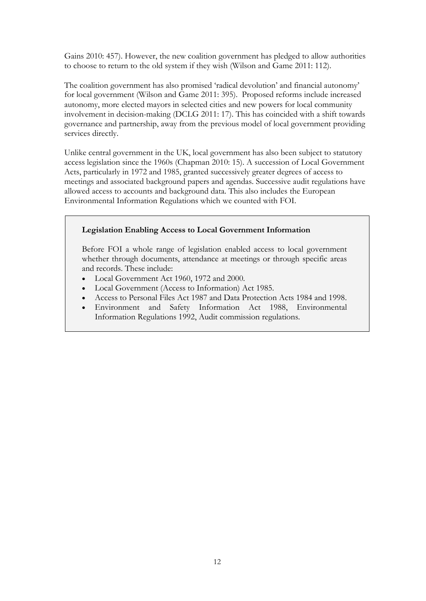Gains 2010: 457). However, the new coalition government has pledged to allow authorities to choose to return to the old system if they wish (Wilson and Game 2011: 112).

The coalition government has also promised 'radical devolution' and financial autonomy' for local government (Wilson and Game 2011: 395). Proposed reforms include increased autonomy, more elected mayors in selected cities and new powers for local community involvement in decision-making (DCLG 2011: 17). This has coincided with a shift towards governance and partnership, away from the previous model of local government providing services directly.

Unlike central government in the UK, local government has also been subject to statutory access legislation since the 1960s (Chapman 2010: 15). A succession of Local Government Acts, particularly in 1972 and 1985, granted successively greater degrees of access to meetings and associated background papers and agendas. Successive audit regulations have allowed access to accounts and background data. This also includes the European Environmental Information Regulations which we counted with FOI.

#### **Legislation Enabling Access to Local Government Information**

Before FOI a whole range of legislation enabled access to local government whether through documents, attendance at meetings or through specific areas and records. These include:

- Local Government Act 1960, 1972 and 2000.
- Local Government (Access to Information) Act 1985.
- Access to Personal Files Act 1987 and Data Protection Acts 1984 and 1998.
- Environment and Safety Information Act 1988, Environmental Information Regulations 1992, Audit commission regulations.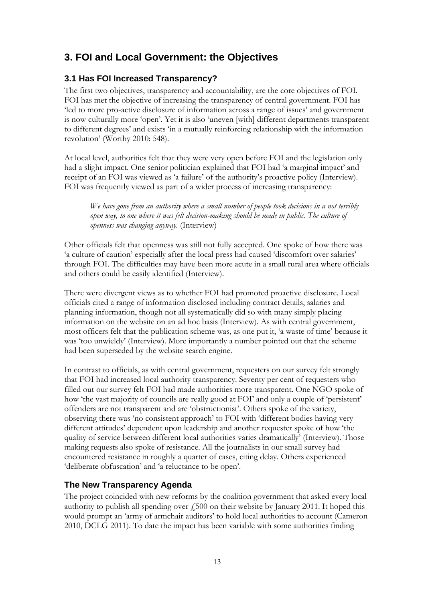# <span id="page-13-0"></span>**3. FOI and Local Government: the Objectives**

# <span id="page-13-1"></span>**3.1 Has FOI Increased Transparency?**

The first two objectives, transparency and accountability, are the core objectives of FOI. FOI has met the objective of increasing the transparency of central government. FOI has 'led to more pro-active disclosure of information across a range of issues' and government is now culturally more 'open'. Yet it is also 'uneven [with] different departments transparent to different degrees' and exists 'in a mutually reinforcing relationship with the information revolution' (Worthy 2010: 548).

At local level, authorities felt that they were very open before FOI and the legislation only had a slight impact. One senior politician explained that FOI had 'a marginal impact' and receipt of an FOI was viewed as 'a failure' of the authority's proactive policy (Interview). FOI was frequently viewed as part of a wider process of increasing transparency:

*We have gone from an authority where a small number of people took decisions in a not terribly open way, to one where it was felt decision-making should be made in public. The culture of openness was changing anyway.* (Interview)

Other officials felt that openness was still not fully accepted. One spoke of how there was 'a culture of caution' especially after the local press had caused 'discomfort over salaries' through FOI. The difficulties may have been more acute in a small rural area where officials and others could be easily identified (Interview).

There were divergent views as to whether FOI had promoted proactive disclosure. Local officials cited a range of information disclosed including contract details, salaries and planning information, though not all systematically did so with many simply placing information on the website on an ad hoc basis (Interview). As with central government, most officers felt that the publication scheme was, as one put it, 'a waste of time' because it was 'too unwieldy' (Interview). More importantly a number pointed out that the scheme had been superseded by the website search engine.

In contrast to officials, as with central government, requesters on our survey felt strongly that FOI had increased local authority transparency. Seventy per cent of requesters who filled out our survey felt FOI had made authorities more transparent. One NGO spoke of how 'the vast majority of councils are really good at FOI' and only a couple of 'persistent' offenders are not transparent and are 'obstructionist'. Others spoke of the variety, observing there was 'no consistent approach' to FOI with 'different bodies having very different attitudes' dependent upon leadership and another requester spoke of how 'the quality of service between different local authorities varies dramatically' (Interview). Those making requests also spoke of resistance. All the journalists in our small survey had encountered resistance in roughly a quarter of cases, citing delay. Others experienced 'deliberate obfuscation' and 'a reluctance to be open'.

# <span id="page-13-2"></span>**The New Transparency Agenda**

The project coincided with new reforms by the coalition government that asked every local authority to publish all spending over  $\dot{\gamma}$  500 on their website by January 2011. It hoped this would prompt an 'army of armchair auditors' to hold local authorities to account (Cameron 2010, DCLG 2011). To date the impact has been variable with some authorities finding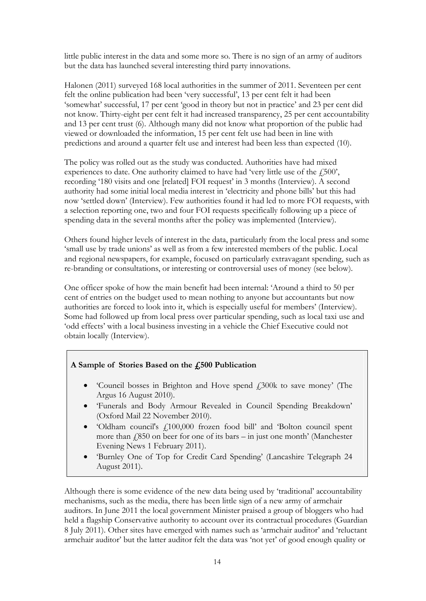little public interest in the data and some more so. There is no sign of an army of auditors but the data has launched several interesting third party innovations.

Halonen (2011) surveyed 168 local authorities in the summer of 2011. Seventeen per cent felt the online publication had been 'very successful', 13 per cent felt it had been 'somewhat' successful, 17 per cent 'good in theory but not in practice' and 23 per cent did not know. Thirty-eight per cent felt it had increased transparency, 25 per cent accountability and 13 per cent trust (6). Although many did not know what proportion of the public had viewed or downloaded the information, 15 per cent felt use had been in line with predictions and around a quarter felt use and interest had been less than expected (10).

The policy was rolled out as the study was conducted. Authorities have had mixed experiences to date. One authority claimed to have had 'very little use of the  $\ddot{F}500$ ', recording '180 visits and one [related] FOI request' in 3 months (Interview). A second authority had some initial local media interest in 'electricity and phone bills' but this had now 'settled down' (Interview). Few authorities found it had led to more FOI requests, with a selection reporting one, two and four FOI requests specifically following up a piece of spending data in the several months after the policy was implemented (Interview).

Others found higher levels of interest in the data, particularly from the local press and some 'small use by trade unions' as well as from a few interested members of the public. Local and regional newspapers, for example, focused on particularly extravagant spending, such as re-branding or consultations, or interesting or controversial uses of money (see below).

One officer spoke of how the main benefit had been internal: 'Around a third to 50 per cent of entries on the budget used to mean nothing to anyone but accountants but now authorities are forced to look into it, which is especially useful for members' (Interview). Some had followed up from local press over particular spending, such as local taxi use and 'odd effects' with a local business investing in a vehicle the Chief Executive could not obtain locally (Interview).

# **A Sample of Stories Based on the £500 Publication**

- 'Council bosses in Brighton and Hove spend £300k to save money' (The Argus 16 August 2010).
- 'Funerals and Body Armour Revealed in Council Spending Breakdown' (Oxford Mail 22 November 2010).
- 'Oldham council's £100,000 frozen food bill' and 'Bolton council spent more than  $\ell$ 850 on beer for one of its bars – in just one month' (Manchester Evening News 1 February 2011).
- 'Burnley One of Top for Credit Card Spending' (Lancashire Telegraph 24 August 2011).

Although there is some evidence of the new data being used by 'traditional' accountability mechanisms, such as the media, there has been little sign of a new army of armchair auditors. In June 2011 the local government Minister praised a group of bloggers who had held a flagship Conservative authority to account over its contractual procedures (Guardian 8 July 2011). Other sites have emerged with names such as 'armchair auditor' and 'reluctant armchair auditor' but the latter auditor felt the data was 'not yet' of good enough quality or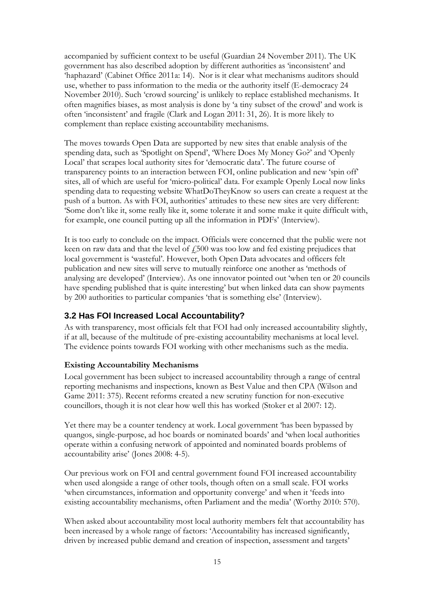accompanied by sufficient context to be useful (Guardian 24 November 2011). The UK government has also described adoption by different authorities as 'inconsistent' and 'haphazard' (Cabinet Office 2011a: 14). Nor is it clear what mechanisms auditors should use, whether to pass information to the media or the authority itself (E-democracy 24 November 2010). Such 'crowd sourcing' is unlikely to replace established mechanisms. It often magnifies biases, as most analysis is done by 'a tiny subset of the crowd' and work is often 'inconsistent' and fragile (Clark and Logan 2011: 31, 26). It is more likely to complement than replace existing accountability mechanisms.

The moves towards Open Data are supported by new sites that enable analysis of the spending data, such as 'Spotlight on Spend', 'Where Does My Money Go?' and 'Openly Local' that scrapes local authority sites for 'democratic data'. The future course of transparency points to an interaction between FOI, online publication and new 'spin off' sites, all of which are useful for 'micro-political' data. For example Openly Local now links spending data to requesting website WhatDoTheyKnow so users can create a request at the push of a button. As with FOI, authorities' attitudes to these new sites are very different: 'Some don't like it, some really like it, some tolerate it and some make it quite difficult with, for example, one council putting up all the information in PDFs' (Interview).

It is too early to conclude on the impact. Officials were concerned that the public were not keen on raw data and that the level of  $f_{\text{0.500}}$  was too low and fed existing prejudices that local government is 'wasteful'. However, both Open Data advocates and officers felt publication and new sites will serve to mutually reinforce one another as 'methods of analysing are developed' (Interview). As one innovator pointed out 'when ten or 20 councils have spending published that is quite interesting' but when linked data can show payments by 200 authorities to particular companies 'that is something else' (Interview).

# <span id="page-15-0"></span>**3.2 Has FOI Increased Local Accountability?**

As with transparency, most officials felt that FOI had only increased accountability slightly, if at all, because of the multitude of pre-existing accountability mechanisms at local level. The evidence points towards FOI working with other mechanisms such as the media.

#### **Existing Accountability Mechanisms**

Local government has been subject to increased accountability through a range of central reporting mechanisms and inspections, known as Best Value and then CPA (Wilson and Game 2011: 375). Recent reforms created a new scrutiny function for non-executive councillors, though it is not clear how well this has worked (Stoker et al 2007: 12).

Yet there may be a counter tendency at work. Local government 'has been bypassed by quangos, single-purpose, ad hoc boards or nominated boards' and 'when local authorities operate within a confusing network of appointed and nominated boards problems of accountability arise' (Jones 2008: 4-5).

Our previous work on FOI and central government found FOI increased accountability when used alongside a range of other tools, though often on a small scale. FOI works 'when circumstances, information and opportunity converge' and when it 'feeds into existing accountability mechanisms, often Parliament and the media' (Worthy 2010: 570).

When asked about accountability most local authority members felt that accountability has been increased by a whole range of factors: 'Accountability has increased significantly, driven by increased public demand and creation of inspection, assessment and targets'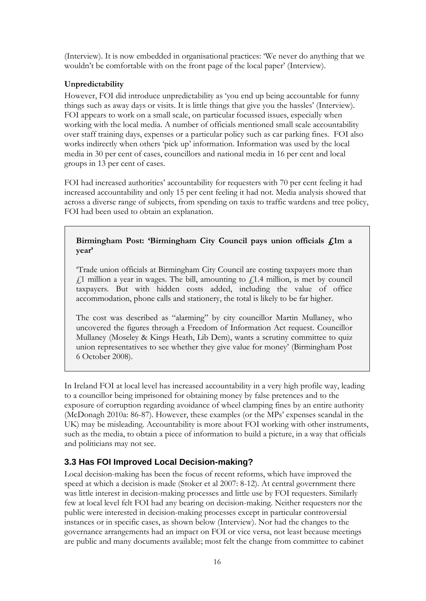(Interview). It is now embedded in organisational practices: 'We never do anything that we wouldn't be comfortable with on the front page of the local paper' (Interview).

#### **Unpredictability**

However, FOI did introduce unpredictability as 'you end up being accountable for funny things such as away days or visits. It is little things that give you the hassles' (Interview). FOI appears to work on a small scale, on particular focussed issues, especially when working with the local media. A number of officials mentioned small scale accountability over staff training days, expenses or a particular policy such as car parking fines. FOI also works indirectly when others 'pick up' information. Information was used by the local media in 30 per cent of cases, councillors and national media in 16 per cent and local groups in 13 per cent of cases.

FOI had increased authorities' accountability for requesters with 70 per cent feeling it had increased accountability and only 15 per cent feeling it had not. Media analysis showed that across a diverse range of subjects, from spending on taxis to traffic wardens and tree policy, FOI had been used to obtain an explanation.

#### **Birmingham Post: 'Birmingham City Council pays union officials £1m a year'**

'Trade union officials at Birmingham City Council are costing taxpayers more than  $f<sub>1</sub>1$  million a year in wages. The bill, amounting to  $f<sub>1</sub>1.4$  million, is met by council taxpayers. But with hidden costs added, including the value of office accommodation, phone calls and stationery, the total is likely to be far higher.

The cost was described as "alarming" by city councillor Martin Mullaney, who uncovered the figures through a Freedom of Information Act request. Councillor Mullaney (Moseley & Kings Heath, Lib Dem), wants a scrutiny committee to quiz union representatives to see whether they give value for money' (Birmingham Post 6 October 2008).

In Ireland FOI at local level has increased accountability in a very high profile way, leading to a councillor being imprisoned for obtaining money by false pretences and to the exposure of corruption regarding avoidance of wheel clamping fines by an entire authority (McDonagh 2010a: 86-87). However, these examples (or the MPs' expenses scandal in the UK) may be misleading. Accountability is more about FOI working with other instruments, such as the media, to obtain a piece of information to build a picture, in a way that officials and politicians may not see.

# <span id="page-16-0"></span>**3.3 Has FOI Improved Local Decision-making?**

Local decision-making has been the focus of recent reforms, which have improved the speed at which a decision is made (Stoker et al 2007: 8-12). At central government there was little interest in decision-making processes and little use by FOI requesters. Similarly few at local level felt FOI had any bearing on decision-making. Neither requesters nor the public were interested in decision-making processes except in particular controversial instances or in specific cases, as shown below (Interview). Nor had the changes to the governance arrangements had an impact on FOI or vice versa, not least because meetings are public and many documents available; most felt the change from committee to cabinet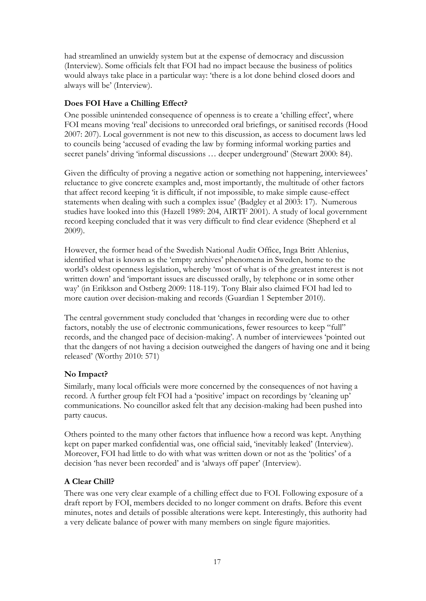had streamlined an unwieldy system but at the expense of democracy and discussion (Interview). Some officials felt that FOI had no impact because the business of politics would always take place in a particular way: 'there is a lot done behind closed doors and always will be' (Interview).

#### **Does FOI Have a Chilling Effect?**

One possible unintended consequence of openness is to create a 'chilling effect', where FOI means moving 'real' decisions to unrecorded oral briefings, or sanitised records (Hood 2007: 207). Local government is not new to this discussion, as access to document laws led to councils being 'accused of evading the law by forming informal working parties and secret panels' driving 'informal discussions ... deeper underground' (Stewart 2000: 84).

Given the difficulty of proving a negative action or something not happening, interviewees' reluctance to give concrete examples and, most importantly, the multitude of other factors that affect record keeping 'it is difficult, if not impossible, to make simple cause-effect statements when dealing with such a complex issue' (Badgley et al 2003: 17). Numerous studies have looked into this (Hazell 1989: 204, AIRTF 2001). A study of local government record keeping concluded that it was very difficult to find clear evidence (Shepherd et al 2009).

However, the former head of the Swedish National Audit Office, Inga Britt Ahlenius, identified what is known as the 'empty archives' phenomena in Sweden, home to the world's oldest openness legislation, whereby 'most of what is of the greatest interest is not written down' and 'important issues are discussed orally, by telephone or in some other way' (in Erikkson and Ostberg 2009: 118-119). Tony Blair also claimed FOI had led to more caution over decision-making and records (Guardian 1 September 2010).

The central government study concluded that 'changes in recording were due to other factors, notably the use of electronic communications, fewer resources to keep "full" records, and the changed pace of decision-making'. A number of interviewees 'pointed out that the dangers of not having a decision outweighed the dangers of having one and it being released' (Worthy 2010: 571)

#### **No Impact?**

Similarly, many local officials were more concerned by the consequences of not having a record. A further group felt FOI had a 'positive' impact on recordings by 'cleaning up' communications. No councillor asked felt that any decision-making had been pushed into party caucus.

Others pointed to the many other factors that influence how a record was kept. Anything kept on paper marked confidential was, one official said, 'inevitably leaked' (Interview). Moreover, FOI had little to do with what was written down or not as the 'politics' of a decision 'has never been recorded' and is 'always off paper' (Interview).

# **A Clear Chill?**

There was one very clear example of a chilling effect due to FOI. Following exposure of a draft report by FOI, members decided to no longer comment on drafts. Before this event minutes, notes and details of possible alterations were kept. Interestingly, this authority had a very delicate balance of power with many members on single figure majorities.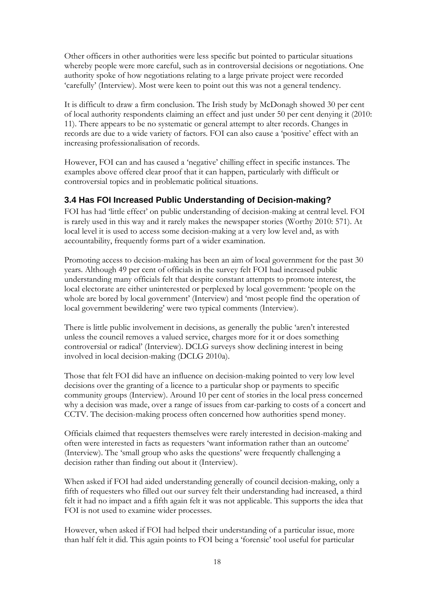Other officers in other authorities were less specific but pointed to particular situations whereby people were more careful, such as in controversial decisions or negotiations. One authority spoke of how negotiations relating to a large private project were recorded 'carefully' (Interview). Most were keen to point out this was not a general tendency.

It is difficult to draw a firm conclusion. The Irish study by McDonagh showed 30 per cent of local authority respondents claiming an effect and just under 50 per cent denying it (2010: 11). There appears to be no systematic or general attempt to alter records. Changes in records are due to a wide variety of factors. FOI can also cause a 'positive' effect with an increasing professionalisation of records.

However, FOI can and has caused a 'negative' chilling effect in specific instances. The examples above offered clear proof that it can happen, particularly with difficult or controversial topics and in problematic political situations.

# <span id="page-18-0"></span>**3.4 Has FOI Increased Public Understanding of Decision-making?**

FOI has had 'little effect' on public understanding of decision-making at central level. FOI is rarely used in this way and it rarely makes the newspaper stories (Worthy 2010: 571). At local level it is used to access some decision-making at a very low level and, as with accountability, frequently forms part of a wider examination.

Promoting access to decision-making has been an aim of local government for the past 30 years. Although 49 per cent of officials in the survey felt FOI had increased public understanding many officials felt that despite constant attempts to promote interest, the local electorate are either uninterested or perplexed by local government: 'people on the whole are bored by local government' (Interview) and 'most people find the operation of local government bewildering' were two typical comments (Interview).

There is little public involvement in decisions, as generally the public 'aren't interested unless the council removes a valued service, charges more for it or does something controversial or radical' (Interview). DCLG surveys show declining interest in being involved in local decision-making (DCLG 2010a).

Those that felt FOI did have an influence on decision-making pointed to very low level decisions over the granting of a licence to a particular shop or payments to specific community groups (Interview). Around 10 per cent of stories in the local press concerned why a decision was made, over a range of issues from car-parking to costs of a concert and CCTV. The decision-making process often concerned how authorities spend money.

Officials claimed that requesters themselves were rarely interested in decision-making and often were interested in facts as requesters 'want information rather than an outcome' (Interview). The 'small group who asks the questions' were frequently challenging a decision rather than finding out about it (Interview).

When asked if FOI had aided understanding generally of council decision-making, only a fifth of requesters who filled out our survey felt their understanding had increased, a third felt it had no impact and a fifth again felt it was not applicable. This supports the idea that FOI is not used to examine wider processes.

However, when asked if FOI had helped their understanding of a particular issue, more than half felt it did. This again points to FOI being a 'forensic' tool useful for particular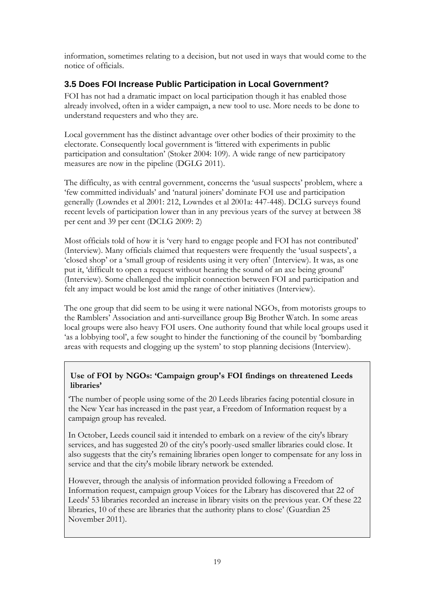information, sometimes relating to a decision, but not used in ways that would come to the notice of officials.

# <span id="page-19-0"></span>**3.5 Does FOI Increase Public Participation in Local Government?**

FOI has not had a dramatic impact on local participation though it has enabled those already involved, often in a wider campaign, a new tool to use. More needs to be done to understand requesters and who they are.

Local government has the distinct advantage over other bodies of their proximity to the electorate. Consequently local government is 'littered with experiments in public participation and consultation' (Stoker 2004: 109). A wide range of new participatory measures are now in the pipeline (DGLG 2011).

The difficulty, as with central government, concerns the 'usual suspects' problem, where a 'few committed individuals' and 'natural joiners' dominate FOI use and participation generally (Lowndes et al 2001: 212, Lowndes et al 2001a: 447-448). DCLG surveys found recent levels of participation lower than in any previous years of the survey at between 38 per cent and 39 per cent (DCLG 2009: 2)

Most officials told of how it is 'very hard to engage people and FOI has not contributed' (Interview). Many officials claimed that requesters were frequently the 'usual suspects', a 'closed shop' or a 'small group of residents using it very often' (Interview). It was, as one put it, 'difficult to open a request without hearing the sound of an axe being ground' (Interview). Some challenged the implicit connection between FOI and participation and felt any impact would be lost amid the range of other initiatives (Interview).

The one group that did seem to be using it were national NGOs, from motorists groups to the Ramblers' Association and anti-surveillance group Big Brother Watch. In some areas local groups were also heavy FOI users. One authority found that while local groups used it 'as a lobbying tool', a few sought to hinder the functioning of the council by 'bombarding areas with requests and clogging up the system' to stop planning decisions (Interview).

# **Use of FOI by NGOs: 'Campaign group's FOI findings on threatened Leeds libraries'**

'The number of people using some of the 20 Leeds libraries facing potential closure in the New Year has increased in the past year, a Freedom of Information request by a campaign group has revealed.

In October, Leeds council said it intended to embark on a review of the city's library services, and has suggested 20 of the city's poorly-used smaller libraries could close. It also suggests that the city's remaining libraries open longer to compensate for any loss in service and that the city's mobile library network be extended.

However, through the analysis of information provided following a Freedom of Information request, campaign group Voices for the Library has discovered that 22 of Leeds' 53 libraries recorded an increase in library visits on the previous year. Of these 22 libraries, 10 of these are libraries that the authority plans to close' (Guardian 25 November 2011).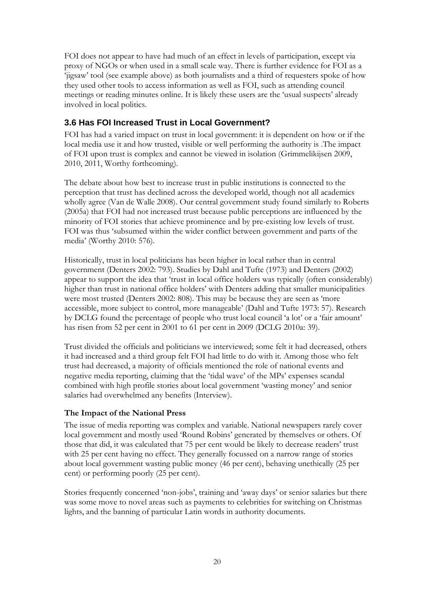FOI does not appear to have had much of an effect in levels of participation, except via proxy of NGOs or when used in a small scale way. There is further evidence for FOI as a 'jigsaw' tool (see example above) as both journalists and a third of requesters spoke of how they used other tools to access information as well as FOI, such as attending council meetings or reading minutes online. It is likely these users are the 'usual suspects' already involved in local politics.

# <span id="page-20-0"></span>**3.6 Has FOI Increased Trust in Local Government?**

FOI has had a varied impact on trust in local government: it is dependent on how or if the local media use it and how trusted, visible or well performing the authority is .The impact of FOI upon trust is complex and cannot be viewed in isolation (Grimmelikijsen 2009, 2010, 2011, Worthy forthcoming).

The debate about how best to increase trust in public institutions is connected to the perception that trust has declined across the developed world, though not all academics wholly agree (Van de Walle 2008). Our central government study found similarly to Roberts (2005a) that FOI had not increased trust because public perceptions are influenced by the minority of FOI stories that achieve prominence and by pre-existing low levels of trust. FOI was thus 'subsumed within the wider conflict between government and parts of the media' (Worthy 2010: 576).

Historically, trust in local politicians has been higher in local rather than in central government (Denters 2002: 793). Studies by Dahl and Tufte (1973) and Denters (2002) appear to support the idea that 'trust in local office holders was typically (often considerably) higher than trust in national office holders' with Denters adding that smaller municipalities were most trusted (Denters 2002: 808). This may be because they are seen as 'more accessible, more subject to control, more manageable' (Dahl and Tufte 1973: 57). Research by DCLG found the percentage of people who trust local council 'a lot' or a 'fair amount' has risen from 52 per cent in 2001 to 61 per cent in 2009 (DCLG 2010a: 39).

Trust divided the officials and politicians we interviewed; some felt it had decreased, others it had increased and a third group felt FOI had little to do with it. Among those who felt trust had decreased, a majority of officials mentioned the role of national events and negative media reporting, claiming that the 'tidal wave' of the MPs' expenses scandal combined with high profile stories about local government 'wasting money' and senior salaries had overwhelmed any benefits (Interview).

# **The Impact of the National Press**

The issue of media reporting was complex and variable. National newspapers rarely cover local government and mostly used 'Round Robins' generated by themselves or others. Of those that did, it was calculated that 75 per cent would be likely to decrease readers' trust with 25 per cent having no effect. They generally focussed on a narrow range of stories about local government wasting public money (46 per cent), behaving unethically (25 per cent) or performing poorly (25 per cent).

Stories frequently concerned 'non-jobs', training and 'away days' or senior salaries but there was some move to novel areas such as payments to celebrities for switching on Christmas lights, and the banning of particular Latin words in authority documents.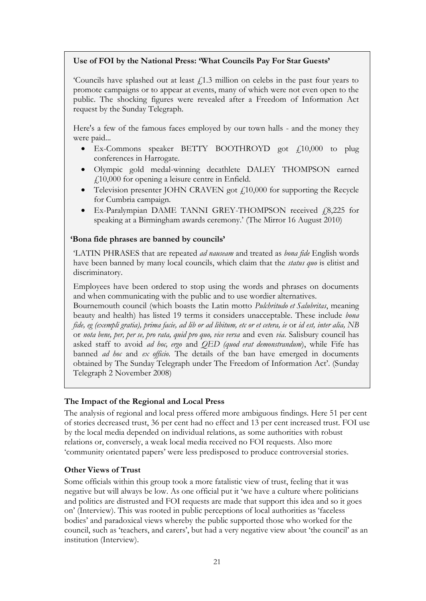#### **Use of FOI by the National Press: 'What Councils Pay For Star Guests'**

'Councils have splashed out at least  $f<sub>i</sub>$ 1.3 million on celebs in the past four years to promote campaigns or to appear at events, many of which were not even open to the public. The shocking figures were revealed after a Freedom of Information Act request by the Sunday Telegraph.

Here's a few of the famous faces employed by our town halls - and the money they were paid...

- Ex-Commons speaker BETTY BOOTHROYD got  $\ell$ 10,000 to plug conferences in Harrogate.
- Olympic gold medal-winning decathlete DALEY THOMPSON earned  $f10,000$  for opening a leisure centre in Enfield.
- Television presenter JOHN CRAVEN got  $f10,000$  for supporting the Recycle for Cumbria campaign.
- Ex-Paralympian DAME TANNI GREY-THOMPSON received  $f$ 8,225 for speaking at a Birmingham awards ceremony.' (The Mirror 16 August 2010)

#### **'Bona fide phrases are banned by councils'**

'LATIN PHRASES that are repeated *ad nauseam* and treated as *bona fide* English words have been banned by many local councils, which claim that the *status quo* is elitist and discriminatory.

Employees have been ordered to stop using the words and phrases on documents and when communicating with the public and to use wordier alternatives.

Bournemouth council (which boasts the Latin motto *Pulchritudo et Salubritas*, meaning beauty and health) has listed 19 terms it considers unacceptable. These include *bona fide, eg (exempli gratia), prima facie, ad lib or ad libitum, etc or et cetera, ie or id est, inter alia,* NB or *nota bene, per, per se, pro rata, quid pro quo, vice versa* and even *via*. Salisbury council has asked staff to avoid *ad hoc, ergo* and *QED (quod erat demonstrandum*), while Fife has banned *ad hoc* and *ex officio.* The details of the ban have emerged in documents obtained by The Sunday Telegraph under The Freedom of Information Act'. (Sunday Telegraph 2 November 2008)

#### **The Impact of the Regional and Local Press**

The analysis of regional and local press offered more ambiguous findings. Here 51 per cent of stories decreased trust, 36 per cent had no effect and 13 per cent increased trust. FOI use by the local media depended on individual relations, as some authorities with robust relations or, conversely, a weak local media received no FOI requests. Also more 'community orientated papers' were less predisposed to produce controversial stories.

#### **Other Views of Trust**

Some officials within this group took a more fatalistic view of trust, feeling that it was negative but will always be low. As one official put it 'we have a culture where politicians and politics are distrusted and FOI requests are made that support this idea and so it goes on' (Interview). This was rooted in public perceptions of local authorities as 'faceless bodies' and paradoxical views whereby the public supported those who worked for the council, such as 'teachers, and carers', but had a very negative view about 'the council' as an institution (Interview).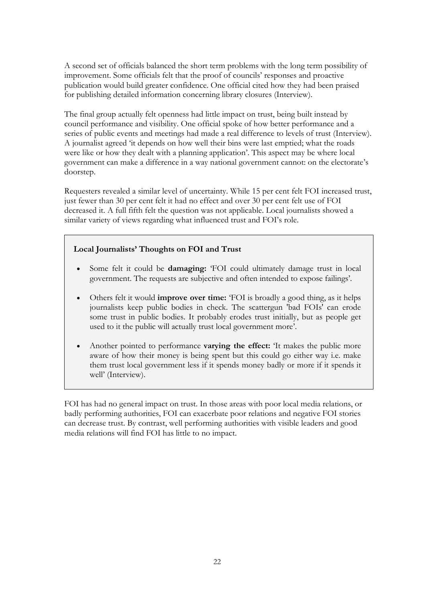A second set of officials balanced the short term problems with the long term possibility of improvement. Some officials felt that the proof of councils' responses and proactive publication would build greater confidence. One official cited how they had been praised for publishing detailed information concerning library closures (Interview).

The final group actually felt openness had little impact on trust, being built instead by council performance and visibility. One official spoke of how better performance and a series of public events and meetings had made a real difference to levels of trust (Interview). A journalist agreed 'it depends on how well their bins were last emptied; what the roads were like or how they dealt with a planning application'. This aspect may be where local government can make a difference in a way national government cannot: on the electorate's doorstep.

Requesters revealed a similar level of uncertainty. While 15 per cent felt FOI increased trust, just fewer than 30 per cent felt it had no effect and over 30 per cent felt use of FOI decreased it. A full fifth felt the question was not applicable. Local journalists showed a similar variety of views regarding what influenced trust and FOI's role.

# **Local Journalists' Thoughts on FOI and Trust**

- Some felt it could be **damaging:** 'FOI could ultimately damage trust in local government. The requests are subjective and often intended to expose failings'.
- Others felt it would **improve over time:** 'FOI is broadly a good thing, as it helps journalists keep public bodies in check. The scattergun 'bad FOIs' can erode some trust in public bodies. It probably erodes trust initially, but as people get used to it the public will actually trust local government more'.
- Another pointed to performance **varying the effect:** 'It makes the public more aware of how their money is being spent but this could go either way i.e. make them trust local government less if it spends money badly or more if it spends it well' (Interview).

FOI has had no general impact on trust. In those areas with poor local media relations, or badly performing authorities, FOI can exacerbate poor relations and negative FOI stories can decrease trust. By contrast, well performing authorities with visible leaders and good media relations will find FOI has little to no impact.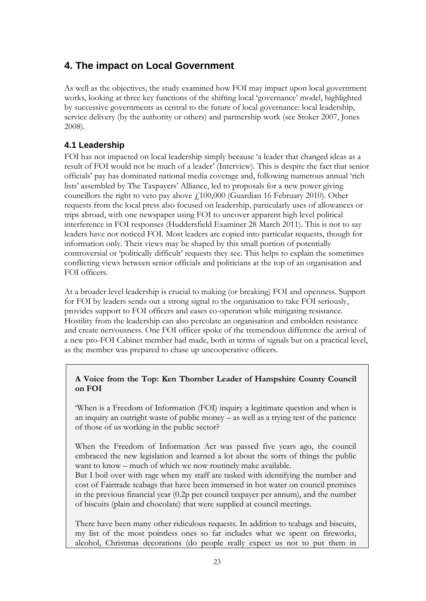# <span id="page-23-0"></span>**4. The impact on Local Government**

As well as the objectives, the study examined how FOI may impact upon local government works, looking at three key functions of the shifting local 'governance' model, highlighted by successive governments as central to the future of local governance: local leadership, service delivery (by the authority or others) and partnership work (see Stoker 2007, Jones 2008).

# <span id="page-23-1"></span>**4.1 Leadership**

FOI has not impacted on local leadership simply because 'a leader that changed ideas as a result of FOI would not be much of a leader' (Interview). This is despite the fact that senior officials' pay has dominated national media coverage and, following numerous annual 'rich lists' assembled by The Taxpayers' Alliance, led to proposals for a new power giving councillors the right to veto pay above  $f100,000$  (Guardian 16 February 2010). Other requests from the local press also focused on leadership, particularly uses of allowances or trips abroad, with one newspaper using FOI to uncover apparent high level political interference in FOI responses (Huddersfield Examiner 28 March 2011). This is not to say leaders have not noticed FOI. Most leaders are copied into particular requests, though for information only. Their views may be shaped by this small portion of potentially controversial or 'politically difficult' requests they see. This helps to explain the sometimes conflicting views between senior officials and politicians at the top of an organisation and FOI officers.

At a broader level leadership is crucial to making (or breaking) FOI and openness. Support for FOI by leaders sends out a strong signal to the organisation to take FOI seriously, provides support to FOI officers and eases co-operation while mitigating resistance. Hostility from the leadership can also percolate an organisation and embolden resistance and create nervousness. One FOI officer spoke of the tremendous difference the arrival of a new pro-FOI Cabinet member had made, both in terms of signals but on a practical level, as the member was prepared to chase up uncooperative officers.

# **A Voice from the Top: Ken Thornber Leader of Hampshire County Council on FOI**

'When is a [Freedom of Information](http://www.guardian.co.uk/politics/freedomofinformation) (FOI) inquiry a legitimate question and when is an inquiry an outright waste of public money – as well as a trying test of the patience of those of us working in the public sector?

When the Freedom of Information Act was passed five years ago, the council embraced the new legislation and learned a lot about the sorts of things the public want to know – much of which we now routinely make available.

But I boil over with rage when my staff are tasked with identifying the number and cost of Fairtrade teabags that have been immersed in hot water on council premises in the previous financial year (0.2p per council taxpayer per annum), and the number of biscuits (plain and chocolate) that were supplied at council meetings.

There have been many other ridiculous requests. In addition to teabags and biscuits, my list of the most pointless ones so far includes what we spent on fireworks, alcohol, Christmas decorations (do people really expect us not to put them in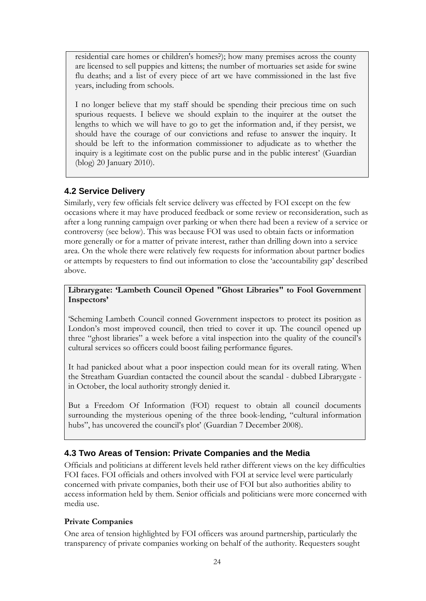residential care homes or children's homes?); how many premises across the county are licensed to sell puppies and kittens; the number of mortuaries set aside for swine flu deaths; and a list of every piece of art we have commissioned in the last five years, including from schools.

I no longer believe that my staff should be spending their precious time on such spurious requests. I believe we should explain to the inquirer at the outset the lengths to which we will have to go to get the information and, if they persist, we should have the courage of our convictions and refuse to answer the inquiry. It should be left to the information commissioner to adjudicate as to whether the inquiry is a legitimate cost on the public purse and in the public interest' (Guardian (blog) 20 January 2010).

# <span id="page-24-0"></span>**4.2 Service Delivery**

Similarly, very few officials felt service delivery was effected by FOI except on the few occasions where it may have produced feedback or some review or reconsideration, such as after a long running campaign over parking or when there had been a review of a service or controversy (see below). This was because FOI was used to obtain facts or information more generally or for a matter of private interest, rather than drilling down into a service area. On the whole there were relatively few requests for information about partner bodies or attempts by requesters to find out information to close the 'accountability gap' described above.

#### **Librarygate: 'Lambeth Council Opened "Ghost Libraries" to Fool Government Inspectors'**

'Scheming Lambeth Council conned Government inspectors to protect its position as London's most improved council, then tried to cover it up. The council opened up three "ghost libraries" a week before a vital inspection into the quality of the council's cultural services so officers could boost failing performance figures.

It had panicked about what a poor inspection could mean for its overall rating. When the Streatham Guardian contacted the council about the scandal - dubbed Librarygate in October, the local authority strongly denied it.

But a Freedom Of Information (FOI) request to obtain all council documents surrounding the mysterious opening of the three book-lending, "cultural information hubs", has uncovered the council's plot' (Guardian 7 December 2008).

# <span id="page-24-1"></span>**4.3 Two Areas of Tension: Private Companies and the Media**

Officials and politicians at different levels held rather different views on the key difficulties FOI faces. FOI officials and others involved with FOI at service level were particularly concerned with private companies, both their use of FOI but also authorities ability to access information held by them. Senior officials and politicians were more concerned with media use.

#### **Private Companies**

One area of tension highlighted by FOI officers was around partnership, particularly the transparency of private companies working on behalf of the authority. Requesters sought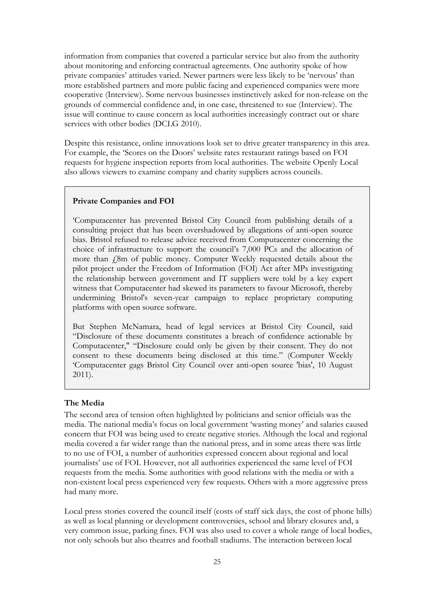information from companies that covered a particular service but also from the authority about monitoring and enforcing contractual agreements. One authority spoke of how private companies' attitudes varied. Newer partners were less likely to be 'nervous' than more established partners and more public facing and experienced companies were more cooperative (Interview). Some nervous businesses instinctively asked for non-release on the grounds of commercial confidence and, in one case, threatened to sue (Interview). The issue will continue to cause concern as local authorities increasingly contract out or share services with other bodies (DCLG 2010).

Despite this resistance, online innovations look set to drive greater transparency in this area. For example, the 'Scores on the Doors' website rates restaurant ratings based on FOI requests for hygiene inspection reports from local authorities. The website Openly Local also allows viewers to examine company and charity suppliers across councils.

#### **Private Companies and FOI**

'Computacenter has prevented Bristol City Council from publishing details of a consulting project that has been overshadowed by allegations of anti-open source bias. Bristol refused to release advice received from Computacenter concerning the choice of infrastructure to support the council's 7,000 PCs and the allocation of more than  $\zeta$ 8m of public money. Computer Weekly requested details about the pilot project under the Freedom of Information (FOI) Act after MPs investigating the relationship between government and IT suppliers were told by a key expert witness that Computacenter had skewed its parameters to favour Microsoft, thereby undermining Bristol's seven-year campaign to replace proprietary computing platforms with open source software.

But Stephen McNamara, head of legal services at Bristol City Council, said "Disclosure of these documents constitutes a breach of confidence actionable by Computacenter," "Disclosure could only be given by their consent. They do not consent to these documents being disclosed at this time." (Computer Weekly 'Computacenter gags Bristol City Council over anti-open source 'bias', 10 August 2011).

#### **The Media**

The second area of tension often highlighted by politicians and senior officials was the media. The national media's focus on local government 'wasting money' and salaries caused concern that FOI was being used to create negative stories. Although the local and regional media covered a far wider range than the national press, and in some areas there was little to no use of FOI, a number of authorities expressed concern about regional and local journalists' use of FOI. However, not all authorities experienced the same level of FOI requests from the media. Some authorities with good relations with the media or with a non-existent local press experienced very few requests. Others with a more aggressive press had many more.

Local press stories covered the council itself (costs of staff sick days, the cost of phone bills) as well as local planning or development controversies, school and library closures and, a very common issue, parking fines. FOI was also used to cover a whole range of local bodies, not only schools but also theatres and football stadiums. The interaction between local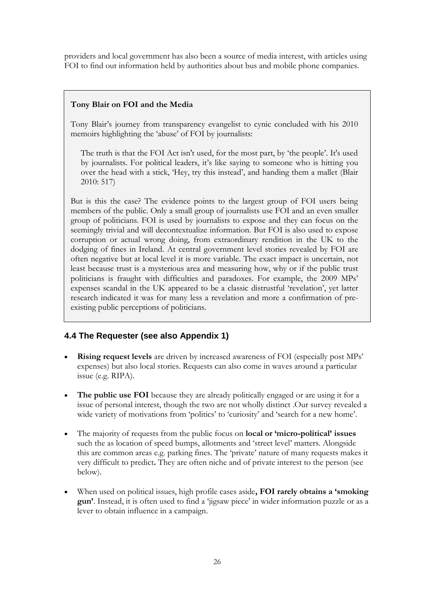providers and local government has also been a source of media interest, with articles using FOI to find out information held by authorities about bus and mobile phone companies.

# **Tony Blair on FOI and the Media**

Tony Blair's journey from transparency evangelist to cynic concluded with his 2010 memoirs highlighting the 'abuse' of FOI by journalists:

The truth is that the FOI Act isn't used, for the most part, by 'the people'. It's used by journalists. For political leaders, it's like saying to someone who is hitting you over the head with a stick, 'Hey, try this instead', and handing them a mallet (Blair 2010: 517)

But is this the case? The evidence points to the largest group of FOI users being members of the public. Only a small group of journalists use FOI and an even smaller group of politicians. FOI is used by journalists to expose and they can focus on the seemingly trivial and will decontextualize information. But FOI is also used to expose corruption or actual wrong doing, from extraordinary rendition in the UK to the dodging of fines in Ireland. At central government level stories revealed by FOI are often negative but at local level it is more variable. The exact impact is uncertain, not least because trust is a mysterious area and measuring how, why or if the public trust politicians is fraught with difficulties and paradoxes. For example, the 2009 MPs' expenses scandal in the UK appeared to be a classic distrustful 'revelation', yet latter research indicated it was for many less a revelation and more a confirmation of preexisting public perceptions of politicians.

# <span id="page-26-0"></span>**4.4 The Requester (see also Appendix 1)**

- **Rising request levels** are driven by increased awareness of FOI (especially post MPs' expenses) but also local stories. Requests can also come in waves around a particular issue (e.g. RIPA).
- **The public use FOI** because they are already politically engaged or are using it for a issue of personal interest, though the two are not wholly distinct .Our survey revealed a wide variety of motivations from 'politics' to 'curiosity' and 'search for a new home'.
- The majority of requests from the public focus on **local or 'micro-political' issues** such the as location of speed bumps, allotments and 'street level' matters. Alongside this are common areas e.g. parking fines. The 'private' nature of many requests makes it very difficult to predict**.** They are often niche and of private interest to the person (see below).
- When used on political issues, high profile cases aside**, FOI rarely obtains a 'smoking gun'**. Instead, it is often used to find a 'jigsaw piece' in wider information puzzle or as a lever to obtain influence in a campaign.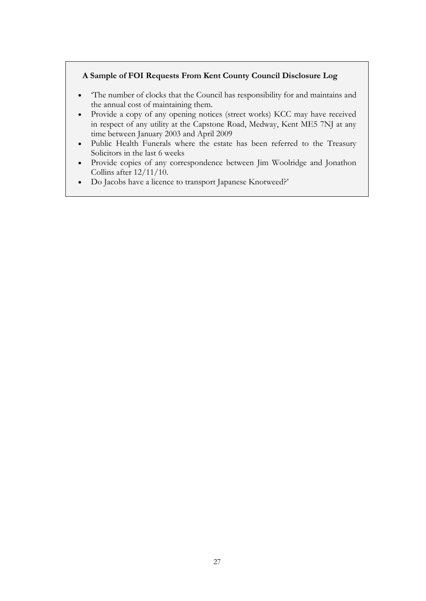#### **A Sample of FOI Requests From Kent County Council Disclosure Log**

- 'The number of clocks that the Council has responsibility for and maintains and the annual cost of maintaining them.
- Provide a copy of any opening notices (street works) KCC may have received in respect of any utility at the Capstone Road, Medway, Kent ME5 7NJ at any time between January 2003 and April 2009
- Public Health Funerals where the estate has been referred to the Treasury Solicitors in the last 6 weeks
- Provide copies of any correspondence between Jim Woolridge and Jonathon Collins after 12/11/10.
- Do Jacobs have a licence to transport Japanese Knotweed?'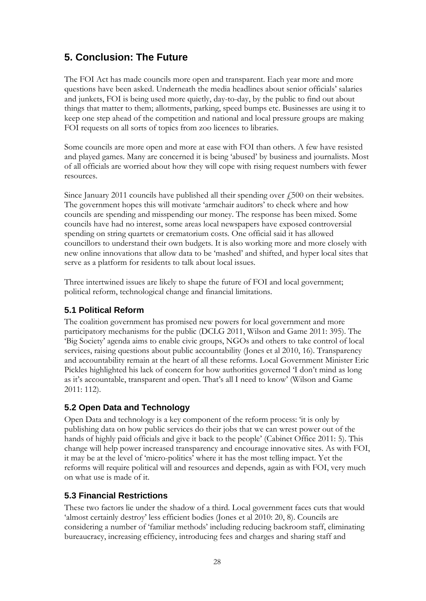# <span id="page-28-0"></span>**5. Conclusion: The Future**

The FOI Act has made councils more open and transparent. Each year more and more questions have been asked. Underneath the media headlines about senior officials' salaries and junkets, FOI is being used more quietly, day-to-day, by the public to find out about things that matter to them; allotments, parking, speed bumps etc. Businesses are using it to keep one step ahead of the competition and national and local pressure groups are making FOI requests on all sorts of topics from zoo licences to libraries.

Some councils are more open and more at ease with FOI than others. A few have resisted and played games. Many are concerned it is being 'abused' by business and journalists. Most of all officials are worried about how they will cope with rising request numbers with fewer resources.

Since January 2011 councils have published all their spending over  $\ell$ , 500 on their websites. The government hopes this will motivate 'armchair auditors' to check where and how councils are spending and misspending our money. The response has been mixed. Some councils have had no interest, some areas local newspapers have exposed controversial spending on string quartets or crematorium costs. One official said it has allowed councillors to understand their own budgets. It is also working more and more closely with new online innovations that allow data to be 'mashed' and shifted, and hyper local sites that serve as a platform for residents to talk about local issues.

Three intertwined issues are likely to shape the future of FOI and local government; political reform, technological change and financial limitations.

# <span id="page-28-1"></span>**5.1 Political Reform**

The coalition government has promised new powers for local government and more participatory mechanisms for the public (DCLG 2011, Wilson and Game 2011: 395). The 'Big Society' agenda aims to enable civic groups, NGOs and others to take control of local services, raising questions about public accountability (Jones et al 2010, 16). Transparency and accountability remain at the heart of all these reforms. Local Government Minister Eric Pickles highlighted his lack of concern for how authorities governed 'I don't mind as long as it's accountable, transparent and open. That's all I need to know' (Wilson and Game 2011: 112).

# <span id="page-28-2"></span>**5.2 Open Data and Technology**

Open Data and technology is a key component of the reform process: 'it is only by publishing data on how public services do their jobs that we can wrest power out of the hands of highly paid officials and give it back to the people' (Cabinet Office 2011: 5). This change will help power increased transparency and encourage innovative sites. As with FOI, it may be at the level of 'micro-politics' where it has the most telling impact. Yet the reforms will require political will and resources and depends, again as with FOI, very much on what use is made of it.

# <span id="page-28-3"></span>**5.3 Financial Restrictions**

These two factors lie under the shadow of a third. Local government faces cuts that would 'almost certainly destroy' less efficient bodies (Jones et al 2010: 20, 8). Councils are considering a number of 'familiar methods' including reducing backroom staff, eliminating bureaucracy, increasing efficiency, introducing fees and charges and sharing staff and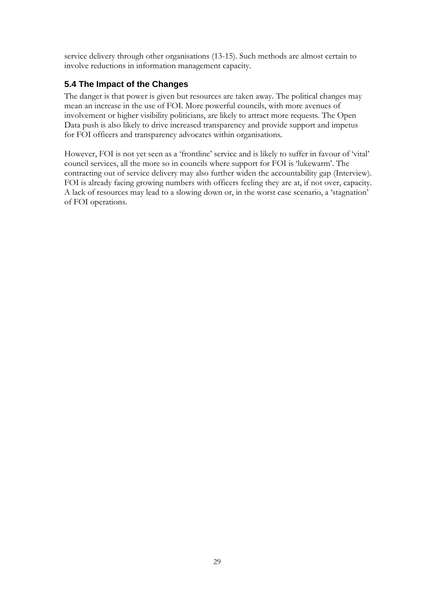service delivery through other organisations (13-15). Such methods are almost certain to involve reductions in information management capacity.

# <span id="page-29-0"></span>**5.4 The Impact of the Changes**

The danger is that power is given but resources are taken away. The political changes may mean an increase in the use of FOI. More powerful councils, with more avenues of involvement or higher visibility politicians, are likely to attract more requests. The Open Data push is also likely to drive increased transparency and provide support and impetus for FOI officers and transparency advocates within organisations.

However, FOI is not yet seen as a 'frontline' service and is likely to suffer in favour of 'vital' council services, all the more so in councils where support for FOI is 'lukewarm'. The contracting out of service delivery may also further widen the accountability gap (Interview). FOI is already facing growing numbers with officers feeling they are at, if not over, capacity. A lack of resources may lead to a slowing down or, in the worst case scenario, a 'stagnation' of FOI operations.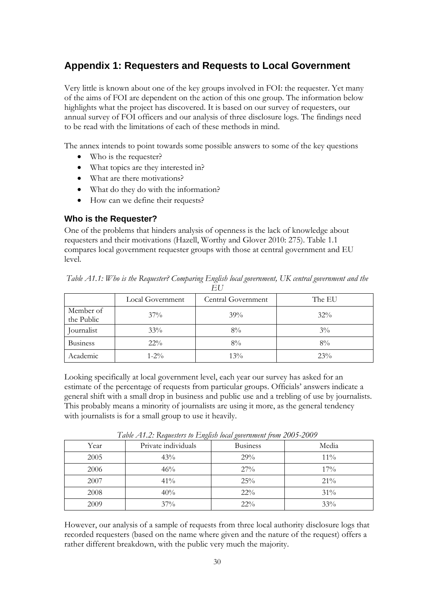# <span id="page-30-0"></span>**Appendix 1: Requesters and Requests to Local Government**

Very little is known about one of the key groups involved in FOI: the requester. Yet many of the aims of FOI are dependent on the action of this one group. The information below highlights what the project has discovered. It is based on our survey of requesters, our annual survey of FOI officers and our analysis of three disclosure logs. The findings need to be read with the limitations of each of these methods in mind.

The annex intends to point towards some possible answers to some of the key questions

- Who is the requester?
- What topics are they interested in?
- What are there motivations?
- What do they do with the information?
- How can we define their requests?

#### **Who is the Requester?**

One of the problems that hinders analysis of openness is the lack of knowledge about requesters and their motivations (Hazell, Worthy and Glover 2010: 275). Table 1.1 compares local government requester groups with those at central government and EU level.

|                         | Local Government | Central Government | The EU |
|-------------------------|------------------|--------------------|--------|
| Member of<br>the Public | $37\%$           | 39%                | $32\%$ |
| Journalist              | 33%              | $8\%$              | $3\%$  |
| <b>Business</b>         | $22\%$           | $8\%$              | $8\%$  |
| Academic                | $1 - 2\%$        | 13%                | 23%    |

*Table A1.1: Who is the Requester? Comparing English local government, UK central government and the EU*

Looking specifically at local government level, each year our survey has asked for an estimate of the percentage of requests from particular groups. Officials' answers indicate a general shift with a small drop in business and public use and a trebling of use by journalists. This probably means a minority of journalists are using it more, as the general tendency with journalists is for a small group to use it heavily.

| Year | Private individuals | <b>Business</b> | Media  |
|------|---------------------|-----------------|--------|
| 2005 | 43%                 | 29%             | $11\%$ |
| 2006 | 46%                 | 27%             | $17\%$ |
| 2007 | 41%                 | 25%             | 21%    |
| 2008 | 40%                 | $22\%$          | 31%    |
| 2009 | 37%                 | $22\%$          | 33%    |

*Table A1.2: Requesters to English local government from 2005-2009*

However, our analysis of a sample of requests from three local authority disclosure logs that recorded requesters (based on the name where given and the nature of the request) offers a rather different breakdown, with the public very much the majority.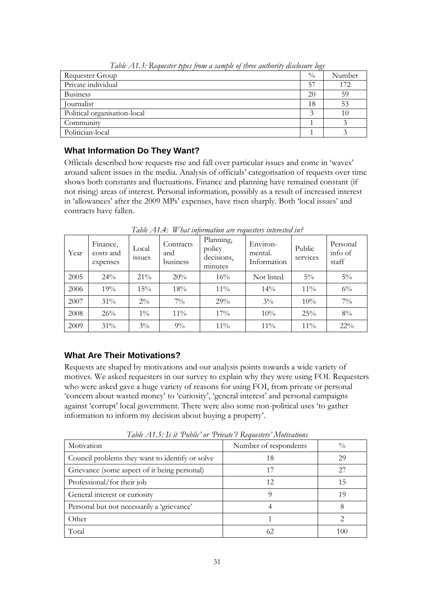| Twore 2 <b>11151 Inequester</b> expositions a sample of estivation by advocating toget |               |        |
|----------------------------------------------------------------------------------------|---------------|--------|
| Requester Group                                                                        | $\frac{0}{0}$ | Number |
| Private individual                                                                     | .57           | 172    |
| <b>Business</b>                                                                        | 20            | 59     |
| Journalist                                                                             | 18            | 53     |
| Political organisation-local                                                           |               | 10     |
| Community                                                                              |               |        |
| Politician-local                                                                       |               |        |

*Table A1.3: Requester types from a sample of three authority disclosure logs*

# **What Information Do They Want?**

Officials described how requests rise and fall over particular issues and come in 'waves' around salient issues in the media. Analysis of officials' categorisation of requests over time shows both constants and fluctuations. Finance and planning have remained constant (if not rising) areas of interest. Personal information, possibly as a result of increased interest in 'allowances' after the 2009 MPs' expenses, have risen sharply. Both 'local issues' and contracts have fallen.

| Year | Finance,<br>costs and<br>expenses | Local<br><i>ssues</i> | Contracts<br>and<br>business | Planning,<br>policy<br>decisions,<br>minutes | Environ-<br>mental.<br>Information | Public<br>services | Personal<br>info of<br>staff |
|------|-----------------------------------|-----------------------|------------------------------|----------------------------------------------|------------------------------------|--------------------|------------------------------|
| 2005 | $24\%$                            | 21%                   | 20%                          | $16\%$                                       | Not listed                         | $5\%$              | $5\%$                        |
| 2006 | 19%                               | 15%                   | 18%                          | $11\%$                                       | 14%                                | $11\%$             | $6\%$                        |
| 2007 | 31%                               | $2\%$                 | $7\%$                        | 29%                                          | $3\%$                              | 10%                | $7\%$                        |
| 2008 | 26%                               | $1\%$                 | $11\%$                       | 17%                                          | 10%                                | 25%                | 8%                           |
| 2009 | 31%                               | $3\%$                 | $9\%$                        | $11\%$                                       | $11\%$                             | $11\%$             | $22\%$                       |

*Table A1.4: What information are requesters interested in?*

# **What Are Their Motivations?**

Requests are shaped by motivations and our analysis points towards a wide variety of motives. We asked requesters in our survey to explain why they were using FOI. Requesters who were asked gave a huge variety of reasons for using FOI, from private or personal 'concern about wasted money' to 'curiosity', 'general interest' and personal campaigns against 'corrupt' local government. There were also some non-political uses 'to gather information to inform my decision about buying a property'.

Motivation Number of respondents  $\frac{1}{2}$  Number of respondents  $\frac{1}{2}$  % Council problems they want to identify or solve 18 18 29 Grievance (some aspect of it being personal) 17 17 27 Professional/for their job 12 12 15 General interest or curiosity 19 19 Personal but not necessarily a 'grievance' and the state and the state of the state of the state of the state of the state of the state of the state of the state of the state of the state of the state of the state of the s

Other 1 2 Total  $\begin{array}{|c|c|c|c|c|c|c|c|c|} \hline \end{array}$  (2  $\begin{array}{|c|c|c|c|c|c|c|c|} \hline \end{array}$  100

*Table A1.5: Is it 'Public' or 'Private'? Requesters' Motivations*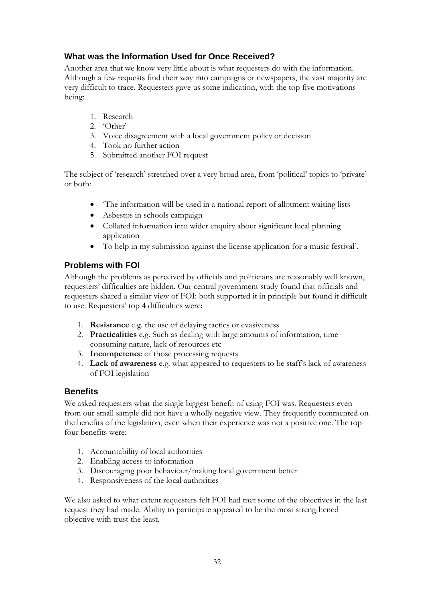# **What was the Information Used for Once Received?**

Another area that we know very little about is what requesters do with the information. Although a few requests find their way into campaigns or newspapers, the vast majority are very difficult to trace. Requesters gave us some indication, with the top five motivations being:

- 1. Research
- 2. 'Other'
- 3. Voice disagreement with a local government policy or decision
- 4. Took no further action
- 5. Submitted another FOI request

The subject of 'research' stretched over a very broad area, from 'political' topics to 'private' or both:

- 'The information will be used in a national report of allotment waiting lists
- Asbestos in schools campaign
- Collated information into wider enquiry about significant local planning application
- To help in my submission against the license application for a music festival'.

# **Problems with FOI**

Although the problems as perceived by officials and politicians are reasonably well known, requesters' difficulties are hidden. Our central government study found that officials and requesters shared a similar view of FOI: both supported it in principle but found it difficult to use. Requesters' top 4 difficulties were:

- 1. **Resistance** e.g. the use of delaying tactics or evasiveness
- 2. **Practicalities** e.g. Such as dealing with large amounts of information, time consuming nature, lack of resources etc
- 3. **Incompetence** of those processing requests
- 4. **Lack of awareness** e.g. what appeared to requesters to be staff's lack of awareness of FOI legislation

# **Benefits**

We asked requesters what the single biggest benefit of using FOI was. Requesters even from our small sample did not have a wholly negative view. They frequently commented on the benefits of the legislation, even when their experience was not a positive one. The top four benefits were:

- 1. Accountability of local authorities
- 2. Enabling access to information
- 3. Discouraging poor behaviour/making local government better
- 4. Responsiveness of the local authorities

We also asked to what extent requesters felt FOI had met some of the objectives in the last request they had made. Ability to participate appeared to be the most strengthened objective with trust the least.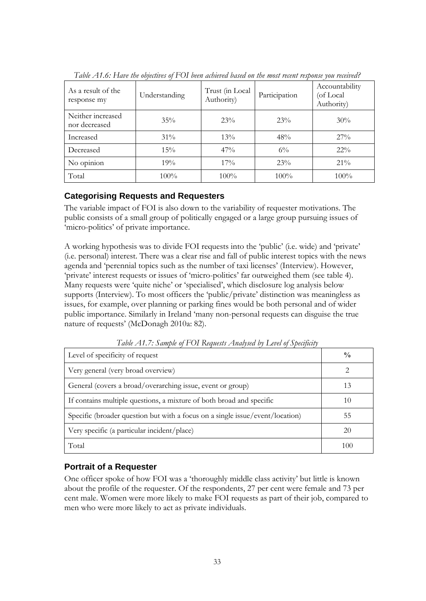<span id="page-33-0"></span>

| As a result of the<br>response my  | Understanding | Trust (in Local<br>Authority) | Participation | Accountability<br>(of Local<br>Authority) |
|------------------------------------|---------------|-------------------------------|---------------|-------------------------------------------|
| Neither increased<br>nor decreased | 35%           | 23%                           | 23%           | 30%                                       |
| Increased                          | 31%           | $13\%$                        | 48%           | 27%                                       |
| Decreased                          | 15%           | 47%                           | $6\%$         | $22\%$                                    |
| No opinion                         | 19%           | $17\%$                        | 23%           | $21\%$                                    |
| Total                              | $100\%$       | $100\%$                       | $100\%$       | $100\%$                                   |

*Table A1.6: Have the objectives of FOI been achieved based on the most recent response you received?*

# **Categorising Requests and Requesters**

The variable impact of FOI is also down to the variability of requester motivations. The public consists of a small group of politically engaged or a large group pursuing issues of 'micro-politics' of private importance.

A working hypothesis was to divide FOI requests into the 'public' (i.e. wide) and 'private' (i.e. personal) interest. There was a clear rise and fall of public interest topics with the news agenda and 'perennial topics such as the number of taxi licenses' (Interview). However, 'private' interest requests or issues of 'micro-politics' far outweighed them (see table 4). Many requests were 'quite niche' or 'specialised', which disclosure log analysis below supports (Interview). To most officers the 'public/private' distinction was meaningless as issues, for example, over planning or parking fines would be both personal and of wider public importance. Similarly in Ireland 'many non-personal requests can disguise the true nature of requests' (McDonagh 2010a: 82).

<span id="page-33-1"></span>

| Level of specificity of request                                               | $\frac{0}{0}$ |
|-------------------------------------------------------------------------------|---------------|
| Very general (very broad overview)                                            | っ             |
| General (covers a broad/overarching issue, event or group)                    | 13            |
| If contains multiple questions, a mixture of both broad and specific          | 10            |
| Specific (broader question but with a focus on a single issue/event/location) | 55            |
| Very specific (a particular incident/place)                                   | 20            |
| Total                                                                         | 100           |

*Table A1.7: Sample of FOI Requests Analysed by Level of Specificity*

# **Portrait of a Requester**

One officer spoke of how FOI was a 'thoroughly middle class activity' but little is known about the profile of the requester. Of the respondents, 27 per cent were female and 73 per cent male. Women were more likely to make FOI requests as part of their job, compared to men who were more likely to act as private individuals.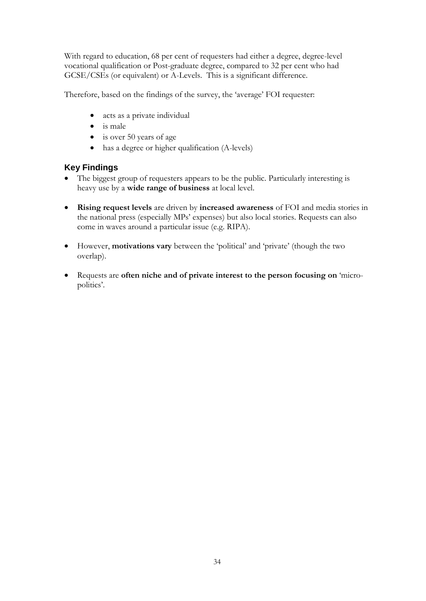With regard to education, 68 per cent of requesters had either a degree, degree-level vocational qualification or Post-graduate degree, compared to 32 per cent who had GCSE/CSEs (or equivalent) or A-Levels. This is a significant difference.

Therefore, based on the findings of the survey, the 'average' FOI requester:

- acts as a private individual
- is male
- is over 50 years of age
- has a degree or higher qualification (A-levels)

# **Key Findings**

- The biggest group of requesters appears to be the public. Particularly interesting is heavy use by a **wide range of business** at local level.
- **Rising request levels** are driven by **increased awareness** of FOI and media stories in the national press (especially MPs' expenses) but also local stories. Requests can also come in waves around a particular issue (e.g. RIPA).
- However, **motivations vary** between the 'political' and 'private' (though the two overlap).
- Requests are **often niche and of private interest to the person focusing on** 'micropolitics'.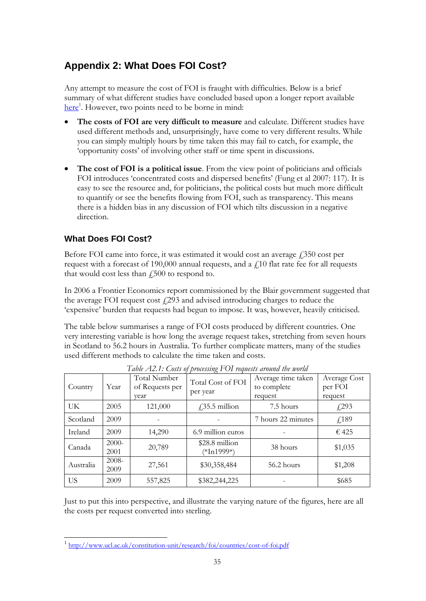# <span id="page-35-0"></span>**Appendix 2: What Does FOI Cost?**

Any attempt to measure the cost of FOI is fraught with difficulties. Below is a brief summary of what different studies have concluded based upon a longer report available [here](http://www.ucl.ac.uk/constitution-unit/research/foi/countries/cost-of-foi.pdf)<sup>1</sup>. However, two points need to be borne in mind:

- **The costs of FOI are very difficult to measure** and calculate. Different studies have used different methods and, unsurprisingly, have come to very different results. While you can simply multiply hours by time taken this may fail to catch, for example, the 'opportunity costs' of involving other staff or time spent in discussions.
- **The cost of FOI is a political issue**. From the view point of politicians and officials FOI introduces 'concentrated costs and dispersed benefits' (Fung et al 2007: 117). It is easy to see the resource and, for politicians, the political costs but much more difficult to quantify or see the benefits flowing from FOI, such as transparency. This means there is a hidden bias in any discussion of FOI which tilts discussion in a negative direction.

# **What Does FOI Cost?**

Before FOI came into force, it was estimated it would cost an average  $\ell$ 350 cost per request with a forecast of 190,000 annual requests, and a  $f$ 10 flat rate fee for all requests that would cost less than  $f_{15}$  to respond to.

In 2006 a Frontier Economics report commissioned by the Blair government suggested that the average FOI request cost  $f(293)$  and advised introducing charges to reduce the 'expensive' burden that requests had begun to impose. It was, however, heavily criticised.

The table below summarises a range of FOI costs produced by different countries. One very interesting variable is how long the average request takes, stretching from seven hours in Scotland to 56.2 hours in Australia. To further complicate matters, many of the studies used different methods to calculate the time taken and costs.

<span id="page-35-1"></span>

| Country   | Year             | Total Number<br>of Requests per<br>vear | Total Cost of FOI<br>per year | Average time taken<br>to complete<br>request | Average Cost<br>per FOI<br>request |
|-----------|------------------|-----------------------------------------|-------------------------------|----------------------------------------------|------------------------------------|
| UK        | 2005             | 121,000                                 | $\sqrt{35.5}$ million         | 7.5 hours                                    | $\sqrt{293}$                       |
| Scotland  | 2009             |                                         |                               | 7 hours 22 minutes                           | f189                               |
| Ireland   | 2009             | 14,290                                  | 6.9 million euros             |                                              | € 425                              |
| Canada    | $2000-$<br>2001  | 20,789                                  | \$28.8 million<br>(*In1999*)  | 38 hours                                     | \$1,035                            |
| Australia | $2008 -$<br>2009 | 27,561                                  | \$30,358,484                  | 56.2 hours                                   | \$1,208                            |
| US        | 2009             | 557,825                                 | \$382,244,225                 |                                              | \$685                              |

*Table A2.1: Costs of processing FOI requests around the world*

Just to put this into perspective, and illustrate the varying nature of the figures, here are all the costs per request converted into sterling.

 1 <http://www.ucl.ac.uk/constitution-unit/research/foi/countries/cost-of-foi.pdf>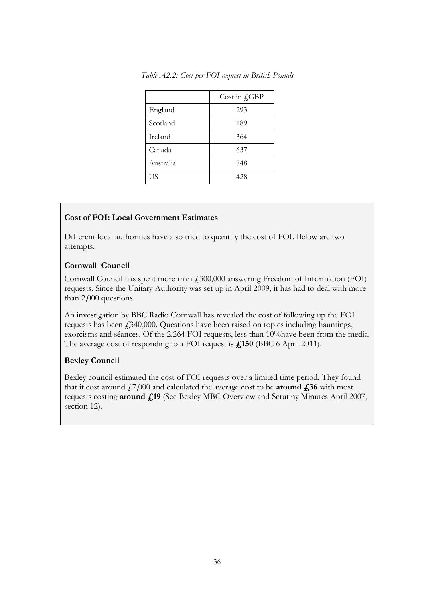|           | Cost in $f_{\rm s}$ GBP |
|-----------|-------------------------|
| England   | 293                     |
| Scotland  | 189                     |
| Ireland   | 364                     |
| Canada    | 637                     |
| Australia | 748                     |
| US        | 428                     |

<span id="page-36-0"></span>*Table A2.2: Cost per FOI request in British Pounds*

#### **Cost of FOI: Local Government Estimates**

Different local authorities have also tried to quantify the cost of FOI. Below are two attempts.

#### **Cornwall Council**

Cornwall Council has spent more than £300,000 answering Freedom of Information (FOI) requests. Since the Unitary Authority was set up in April 2009, it has had to deal with more than 2,000 questions.

An investigation by BBC Radio Cornwall has revealed the cost of following up the FOI requests has been  $\dot{\gamma}$  340,000. Questions have been raised on topics including hauntings, exorcisms and séances. Of the 2,264 FOI requests, less than 10%have been from the media. The average cost of responding to a FOI request is **£150** (BBC 6 April 2011).

# **Bexley Council**

Bexley council estimated the cost of FOI requests over a limited time period. They found that it cost around  $f(7,000)$  and calculated the average cost to be **around**  $f(36)$  with most requests costing **around £19** (See Bexley MBC Overview and Scrutiny Minutes April 2007, section 12).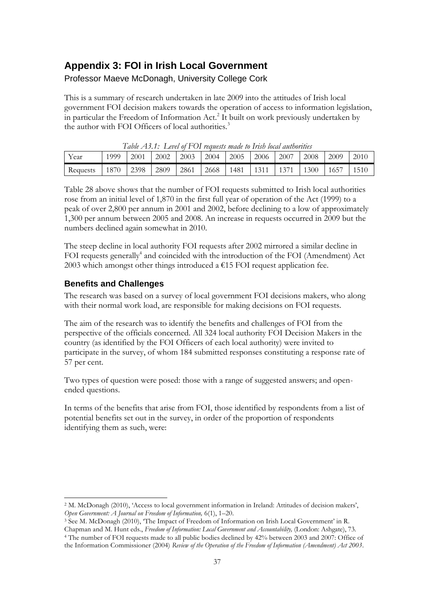# <span id="page-37-0"></span>**Appendix 3: FOI in Irish Local Government**

Professor Maeve McDonagh, University College Cork

This is a summary of research undertaken in late 2009 into the attitudes of Irish local government FOI decision makers towards the operation of access to information legislation, in particular the Freedom of Information  $Act.^2$  It built on work previously undertaken by the author with FOI Officers of local authorities.<sup>3</sup>

<span id="page-37-1"></span>

| Table AT.T. Level of LOI requests made to Irish lotal anthorities |      |      |      |      |      |         |             |       |                                  |      |      |
|-------------------------------------------------------------------|------|------|------|------|------|---------|-------------|-------|----------------------------------|------|------|
| Year                                                              | 1999 | 2001 | 2002 | 2003 | 2004 | $-2005$ | $\mid$ 2006 | 12007 | 2008                             | 2009 | 2010 |
| Requests                                                          | 1870 | 2398 | 2809 | 2861 | 2668 |         |             |       | 1481   1311   1371   1300   1657 |      | 1510 |

*Table A3.1: Level of FOI requests made to Irish local authorities*

Table 28 above shows that the number of FOI requests submitted to Irish local authorities rose from an initial level of 1,870 in the first full year of operation of the Act (1999) to a peak of over 2,800 per annum in 2001 and 2002, before declining to a low of approximately 1,300 per annum between 2005 and 2008. An increase in requests occurred in 2009 but the numbers declined again somewhat in 2010.

The steep decline in local authority FOI requests after 2002 mirrored a similar decline in FOI requests generally<sup>4</sup> and coincided with the introduction of the FOI (Amendment) Act 2003 which amongst other things introduced a  $E15$  FOI request application fee.

# **Benefits and Challenges**

The research was based on a survey of local government FOI decisions makers, who along with their normal work load, are responsible for making decisions on FOI requests.

The aim of the research was to identify the benefits and challenges of FOI from the perspective of the officials concerned. All 324 local authority FOI Decision Makers in the country (as identified by the FOI Officers of each local authority) were invited to participate in the survey, of whom 184 submitted responses constituting a response rate of 57 per cent.

Two types of question were posed: those with a range of suggested answers; and openended questions.

In terms of the benefits that arise from FOI, those identified by respondents from a list of potential benefits set out in the survey, in order of the proportion of respondents identifying them as such, were:

-<sup>2</sup> M. McDonagh (2010), 'Access to local government information in Ireland: Attitudes of decision makers', *Open Government: A Journal on Freedom of Information,* 6(1), 1–20.

<sup>4</sup> The number of FOI requests made to all public bodies declined by 42% between 2003 and 2007: Office of the Information Commissioner (2004) *Review of the Operation of the Freedom of Information (Amendment) Act 2003*.

<sup>&</sup>lt;sup>3</sup> See M. McDonagh (2010), 'The Impact of Freedom of Information on Irish Local Government' in R. Chapman and M. Hunt eds., *Freedom of Information: Local Government and Accountability,* (London: Ashgate), 73.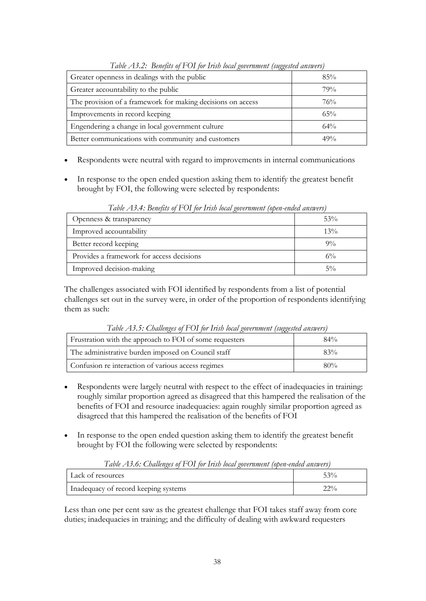<span id="page-38-0"></span>

| Twore $\pm 1$ , $\pm 1$ , $\pm 1$ , $\pm 1$ , $\pm 1$ , $\pm 1$ , $\pm 1$ , $\pm 1$ , $\pm 1$ , $\pm 1$ , $\pm 1$ , $\pm 1$ , $\pm 1$ , $\pm 1$ , $\pm 1$ , $\pm 1$ , $\pm 1$ , $\pm 1$ , $\pm 1$ , $\pm 1$ , $\pm 1$ , $\pm 1$ , $\pm 1$ , $\pm 1$ , $\pm 1$ , $\pm 1$ , $\pm 1$ , |        |  |  |  |
|-------------------------------------------------------------------------------------------------------------------------------------------------------------------------------------------------------------------------------------------------------------------------------------|--------|--|--|--|
| Greater openness in dealings with the public                                                                                                                                                                                                                                        | 85%    |  |  |  |
| Greater accountability to the public                                                                                                                                                                                                                                                | 79%    |  |  |  |
| The provision of a framework for making decisions on access                                                                                                                                                                                                                         | 76%    |  |  |  |
| Improvements in record keeping                                                                                                                                                                                                                                                      | 65%    |  |  |  |
| Engendering a change in local government culture                                                                                                                                                                                                                                    | $64\%$ |  |  |  |
| Better communications with community and customers                                                                                                                                                                                                                                  | 49%    |  |  |  |

*Table A3.2: Benefits of FOI for Irish local government (suggested answers)*

- Respondents were neutral with regard to improvements in internal communications
- In response to the open ended question asking them to identify the greatest benefit brought by FOI, the following were selected by respondents:

<span id="page-38-1"></span>

| Tword TD. The Denopole of $\pm$ 0.1 for them follow government (open entirely answers) |        |  |  |  |
|----------------------------------------------------------------------------------------|--------|--|--|--|
| Openness & transparency                                                                | 53%    |  |  |  |
| Improved accountability                                                                | $13\%$ |  |  |  |
| Better record keeping                                                                  | $9\%$  |  |  |  |
| Provides a framework for access decisions                                              | $6\%$  |  |  |  |
| Improved decision-making                                                               | $5\%$  |  |  |  |

*Table A3.4: Benefits of FOI for Irish local government (open-ended answers)*

The challenges associated with FOI identified by respondents from a list of potential challenges set out in the survey were, in order of the proportion of respondents identifying them as such:

<span id="page-38-2"></span>

| Table AD.): Challenges of FOI for Irish local government (suggested answers) |        |  |  |
|------------------------------------------------------------------------------|--------|--|--|
| Frustration with the approach to FOI of some requesters                      | $84\%$ |  |  |
| The administrative burden imposed on Council staff                           | 83%    |  |  |
| Confusion re interaction of various access regimes                           | $80\%$ |  |  |

*Table A3.5: Challenges of FOI for Irish local government (suggested answers)*

- Respondents were largely neutral with respect to the effect of inadequacies in training: roughly similar proportion agreed as disagreed that this hampered the realisation of the benefits of FOI and resource inadequacies: again roughly similar proportion agreed as disagreed that this hampered the realisation of the benefits of FOI
- In response to the open ended question asking them to identify the greatest benefit brought by FOI the following were selected by respondents:

*Table A3.6: Challenges of FOI for Irish local government (open-ended answers)*

<span id="page-38-3"></span>

| Lack of resources                    | 520          |
|--------------------------------------|--------------|
| Inadequacy of record keeping systems | 220<br>44 70 |

Less than one per cent saw as the greatest challenge that FOI takes staff away from core duties; inadequacies in training; and the difficulty of dealing with awkward requesters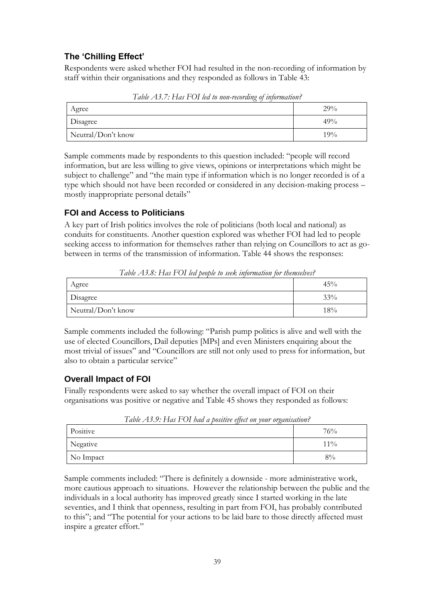# **The 'Chilling Effect'**

Respondents were asked whether FOI had resulted in the non-recording of information by staff within their organisations and they responded as follows in Table 43:

<span id="page-39-0"></span>

| Agree              | 29%    |
|--------------------|--------|
| <b>Disagree</b>    | 49%    |
| Neutral/Don't know | $19\%$ |

*Table A3.7: Has FOI led to non-recording of information?*

Sample comments made by respondents to this question included: "people will record information, but are less willing to give views, opinions or interpretations which might be subject to challenge" and "the main type if information which is no longer recorded is of a type which should not have been recorded or considered in any decision-making process – mostly inappropriate personal details"

# **FOI and Access to Politicians**

A key part of Irish politics involves the role of politicians (both local and national) as conduits for constituents. Another question explored was whether FOI had led to people seeking access to information for themselves rather than relying on Councillors to act as gobetween in terms of the transmission of information. Table 44 shows the responses:

<span id="page-39-1"></span>

| $1$ avec 2 19:0. I las $1 \cup 1$ for people to seek throundarion for themselves. |        |  |
|-----------------------------------------------------------------------------------|--------|--|
| Agree                                                                             | $45\%$ |  |
| Disagree                                                                          | $33\%$ |  |
| Neutral/Don't know                                                                | 18%    |  |

*Table A3.8: Has FOI led people to seek information for themselves?*

Sample comments included the following: "Parish pump politics is alive and well with the use of elected Councillors, Dail deputies [MPs] and even Ministers enquiring about the most trivial of issues" and "Councillors are still not only used to press for information, but also to obtain a particular service"

# **Overall Impact of FOI**

Finally respondents were asked to say whether the overall impact of FOI on their organisations was positive or negative and Table 45 shows they responded as follows:

<span id="page-39-2"></span>

| $1$ ave $\triangle 1$ , $\triangle 1$ , $\triangle 1$ as $1$ $\triangle 1$ may a positive effect on your organisation:<br>Positive | 76%    |
|------------------------------------------------------------------------------------------------------------------------------------|--------|
| Negative                                                                                                                           | $11\%$ |
| No Impact                                                                                                                          | $8\%$  |

*Table A3.9: Has FOI had a positive effect on your organisation?*

Sample comments included: "There is definitely a downside - more administrative work, more cautious approach to situations. However the relationship between the public and the individuals in a local authority has improved greatly since I started working in the late seventies, and I think that openness, resulting in part from FOI, has probably contributed to this"; and "The potential for your actions to be laid bare to those directly affected must inspire a greater effort."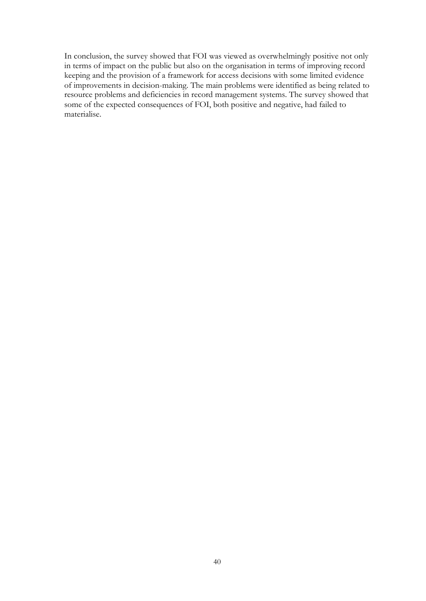In conclusion, the survey showed that FOI was viewed as overwhelmingly positive not only in terms of impact on the public but also on the organisation in terms of improving record keeping and the provision of a framework for access decisions with some limited evidence of improvements in decision-making. The main problems were identified as being related to resource problems and deficiencies in record management systems. The survey showed that some of the expected consequences of FOI, both positive and negative, had failed to materialise.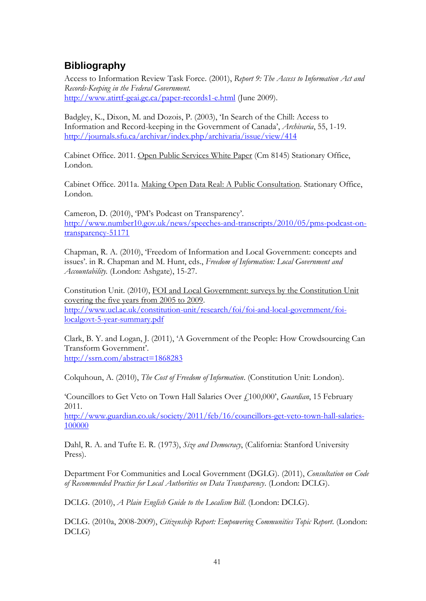# <span id="page-41-0"></span>**Bibliography**

Access to Information Review Task Force. (2001), *Report 9: The Access to Information Act and Records-Keeping in the Federal Government.* <http://www.atirtf-geai.gc.ca/paper-records1-e.html> (June 2009).

Badgley, K., Dixon, M. and Dozois, P. (2003), 'In Search of the Chill: Access to Information and Record-keeping in the Government of Canada', *Archivaria*, 55, 1-19. <http://journals.sfu.ca/archivar/index.php/archivaria/issue/view/414>

Cabinet Office. 2011. Open Public Services White Paper (Cm 8145) Stationary Office, London.

Cabinet Office. 2011a. Making Open Data Real: A Public Consultation. Stationary Office, London.

Cameron, D. (2010), 'PM's Podcast on Transparency'. [http://www.number10.gov.uk/news/speeches-and-transcripts/2010/05/pms-podcast-on](http://www.number10.gov.uk/news/speeches-and-transcripts/2010/05/pms-podcast-on-transparency-51171)[transparency-51171](http://www.number10.gov.uk/news/speeches-and-transcripts/2010/05/pms-podcast-on-transparency-51171)

Chapman, R. A. (2010), 'Freedom of Information and Local Government: concepts and issues'. in R. Chapman and M. Hunt, eds., *Freedom of Information: Local Government and Accountability.* (London: Ashgate), 15-27.

Constitution Unit. (2010), FOI and Local Government: surveys by the Constitution Unit covering the five years from 2005 to 2009. [http://www.ucl.ac.uk/constitution-unit/research/foi/foi-and-local-government/foi](http://www.ucl.ac.uk/constitution-unit/research/foi/foi-and-local-government/foi-localgovt-5-year-summary.pdf)[localgovt-5-year-summary.pdf](http://www.ucl.ac.uk/constitution-unit/research/foi/foi-and-local-government/foi-localgovt-5-year-summary.pdf)

Clark, B. Y. and Logan, J. (2011), 'A Government of the People: How Crowdsourcing Can Transform Government'. <http://ssrn.com/abstract=1868283>

Colquhoun, A. (2010), *The Cost of Freedom of Information*. (Constitution Unit: London).

'Councillors to Get Veto on Town Hall Salaries Over £100,000', *Guardian*, 15 February 2011.

[http://www.guardian.co.uk/society/2011/feb/16/councillors-get-veto-town-hall-salaries-](http://www.guardian.co.uk/society/2011/feb/16/councillors-get-veto-town-hall-salaries-100000)[100000](http://www.guardian.co.uk/society/2011/feb/16/councillors-get-veto-town-hall-salaries-100000)

Dahl, R. A. and Tufte E. R. (1973), *Size and Democracy*, (California: Stanford University Press).

Department For Communities and Local Government (DGLG). (2011), *Consultation on Code of Recommended Practice for Local Authorities on Data Transparency*. (London: DCLG).

DCLG. (2010), *A Plain English Guide to the Localism Bill*. (London: DCLG).

DCLG. (2010a, 2008-2009), *Citizenship Report: Empowering Communities Topic Report*. (London: DCLG)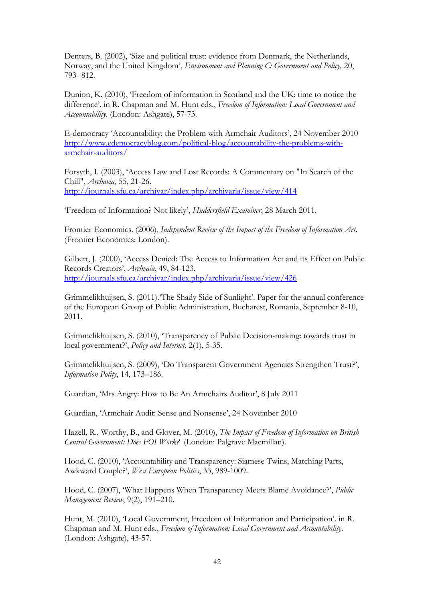Denters, B. (2002), 'Size and political trust: evidence from Denmark, the Netherlands, Norway, and the United Kingdom', *Environment and Planning C: Government and Policy,* 20, 793- 812.

Dunion, K. (2010), 'Freedom of information in Scotland and the UK: time to notice the difference'. in R. Chapman and M. Hunt eds., *Freedom of Information: Local Government and Accountability.* (London: Ashgate), 57-73.

E-democracy 'Accountability: the Problem with Armchair Auditors', 24 November 2010 [http://www.edemocracyblog.com/political-blog/accountability-the-problems-with](http://www.edemocracyblog.com/political-blog/accountability-the-problems-with-armchair-auditors/)[armchair-auditors/](http://www.edemocracyblog.com/political-blog/accountability-the-problems-with-armchair-auditors/)

Forsyth, I. (2003), 'Access Law and Lost Records: A Commentary on "In Search of the Chill", *Archavia*, 55, 21-26. <http://journals.sfu.ca/archivar/index.php/archivaria/issue/view/414>

'Freedom of Information? Not likely', *Huddersfield Examiner*, 28 March 2011.

Frontier Economics. (2006), *Independent Review of the Impact of the Freedom of Information Act*. (Frontier Economics: London).

Gilbert, J. (2000), 'Access Denied: The Access to Information Act and its Effect on Public Records Creators', *Archvaia*, 49, 84-123. <http://journals.sfu.ca/archivar/index.php/archivaria/issue/view/426>

Grimmelikhuijsen, S. (2011).'The Shady Side of Sunlight'. Paper for the annual conference of the European Group of Public Administration, Bucharest, Romania, September 8-10, 2011.

Grimmelikhuijsen, S. (2010), 'Transparency of Public Decision-making: towards trust in local government?', *Policy and Internet*, 2(1), 5-35.

Grimmelikhuijsen, S. (2009), 'Do Transparent Government Agencies Strengthen Trust?', *Information Polity*, 14, 173–186.

Guardian, 'Mrs Angry: How to Be An Armchairs Auditor', 8 July 2011

Guardian, 'Armchair Audit: Sense and Nonsense', 24 November 2010

Hazell, R., Worthy, B., and Glover, M. (2010), *The Impact of Freedom of Information on British Central Government: Does FOI Work?* (London: Palgrave Macmillan).

Hood, C. (2010), 'Accountability and Transparency: Siamese Twins, Matching Parts, Awkward Couple?', *West European Politics*, 33, 989-1009.

Hood, C. (2007), 'What Happens When Transparency Meets Blame Avoidance?', *Public Management Review*, 9(2), 191–210.

Hunt, M. (2010), 'Local Government, Freedom of Information and Participation'. in R. Chapman and M. Hunt eds., *Freedom of Information: Local Government and Accountability*. (London: Ashgate), 43-57.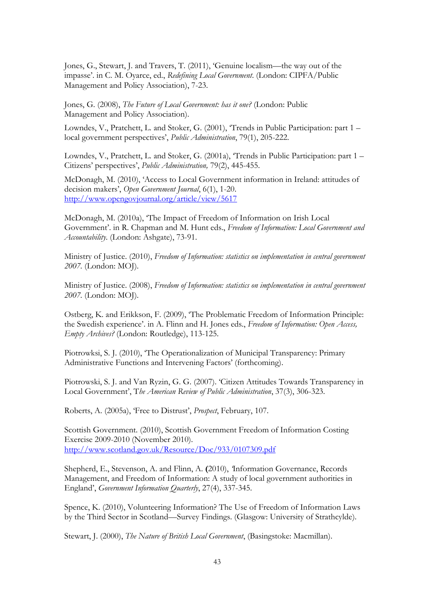Jones, G., Stewart, J. and Travers, T. (2011), 'Genuine localism—the way out of the impasse'. in C. M. Oyarce, ed., *Redefining Local Government*. (London: CIPFA/Public Management and Policy Association), 7-23.

Jones, G. (2008), *The Future of Local Government: has it one?* (London: Public Management and Policy Association).

Lowndes, V., Pratchett, L. and Stoker, G. (2001), 'Trends in Public Participation: part 1 – local government perspectives', *Public Administration*, 79(1), 205-222.

Lowndes, V., Pratchett, L. and Stoker, G. (2001a), 'Trends in Public Participation: part 1 – Citizens' perspectives', *Public Administration,* 79(2), 445-455.

McDonagh, M. (2010), 'Access to Local Government information in Ireland: attitudes of decision makers', *Open Government Journal*, 6(1), 1-20. <http://www.opengovjournal.org/article/view/5617>

McDonagh, M. (2010a), 'The Impact of Freedom of Information on Irish Local Government'. in R. Chapman and M. Hunt eds., *Freedom of Information: Local Government and Accountability*. (London: Ashgate), 73-91.

Ministry of Justice. (2010), *Freedom of Information: statistics on implementation in central government 2007.* (London: MOJ).

Ministry of Justice. (2008), *Freedom of Information: statistics on implementation in central government 2007.* (London: MOJ).

Ostberg, K. and Erikkson, F. (2009), 'The Problematic Freedom of Information Principle: the Swedish experience'. in A. Flinn and H. Jones eds., *Freedom of Information: Open Access, Empty Archives?* (London: Routledge), 113-125.

Piotrowksi, S. J. (2010), 'The Operationalization of Municipal Transparency: Primary Administrative Functions and Intervening Factors' (forthcoming).

Piotrowski, S. J. and Van Ryzin, G. G. (2007). 'Citizen Attitudes Towards Transparency in Local Government', T*he American Review of Public Administration*, 37(3), 306-323.

Roberts, A. (2005a), 'Free to Distrust', *Prospect*, February, 107.

Scottish Government. (2010), Scottish Government Freedom of Information Costing Exercise 2009-2010 (November 2010). <http://www.scotland.gov.uk/Resource/Doc/933/0107309.pdf>

Shepherd, E., Stevenson, A. and Flinn, A. **(**2010), *'*Information Governance, Records Management, and Freedom of Information: A study of local government authorities in England', *Government Information Quarterly*, 27(4), 337-345.

Spence, K. (2010), Volunteering Information? The Use of Freedom of Information Laws by the Third Sector in Scotland—Survey Findings. (Glasgow: University of Strathcylde).

Stewart, J. (2000), *The Nature of British Local Government*, (Basingstoke: Macmillan).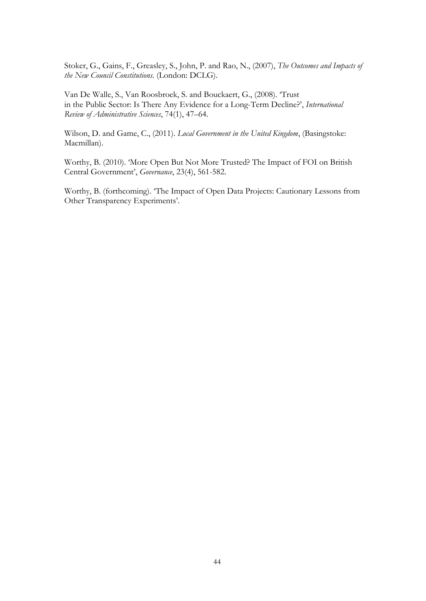Stoker, G., Gains, F., Greasley, S., John, P. and Rao, N., (2007), *The Outcomes and Impacts of the New Council Constitutions.* (London: DCLG).

Van De Walle, S., Van Roosbroek, S. and Bouckaert, G., (2008). 'Trust in the Public Sector: Is There Any Evidence for a Long-Term Decline?', *International Review of Administrative Sciences*, 74(1), 47–64.

Wilson, D. and Game, C., (2011). *Local Government in the United Kingdom*, (Basingstoke: Macmillan).

Worthy, B. (2010). 'More Open But Not More Trusted? The Impact of FOI on British Central Government', *Governance*, 23(4), 561-582.

Worthy, B. (forthcoming). 'The Impact of Open Data Projects: Cautionary Lessons from Other Transparency Experiments'.